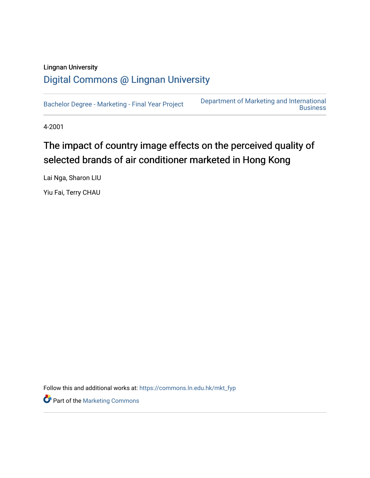## Lingnan University [Digital Commons @ Lingnan University](https://commons.ln.edu.hk/)

[Bachelor Degree - Marketing - Final Year Project](https://commons.ln.edu.hk/mkt_fyp) [Department of Marketing and International](https://commons.ln.edu.hk/mkt)  **Business** 

4-2001

## The impact of country image effects on the perceived quality of selected brands of air conditioner marketed in Hong Kong

Lai Nga, Sharon LIU

Yiu Fai, Terry CHAU

Follow this and additional works at: [https://commons.ln.edu.hk/mkt\\_fyp](https://commons.ln.edu.hk/mkt_fyp?utm_source=commons.ln.edu.hk%2Fmkt_fyp%2F13&utm_medium=PDF&utm_campaign=PDFCoverPages) 

Part of the [Marketing Commons](http://network.bepress.com/hgg/discipline/638?utm_source=commons.ln.edu.hk%2Fmkt_fyp%2F13&utm_medium=PDF&utm_campaign=PDFCoverPages)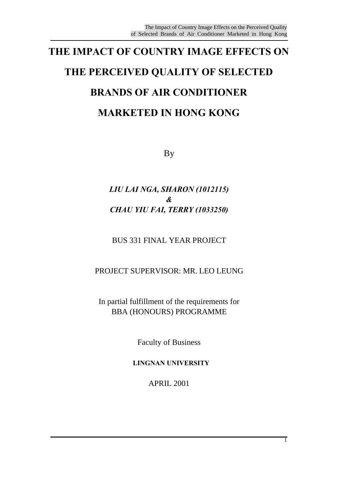## **THE IMPACT OF COUNTRY IMAGE EFFECTS ON THE PERCEIVED QUALITY OF SELECTED BRANDS OF AIR CONDITIONER MARKETED IN HONG KONG**

By

### *LIU LAI NGA, SHARON (1012115) & CHAU YIU FAI, TERRY (1033250)*

BUS 331 FINAL YEAR PROJECT

PROJECT SUPERVISOR: MR. LEO LEUNG

In partial fulfillment of the requirements for BBA (HONOURS) PROGRAMME

Faculty of Business

**LINGNAN UNIVERSITY**

APRIL 2001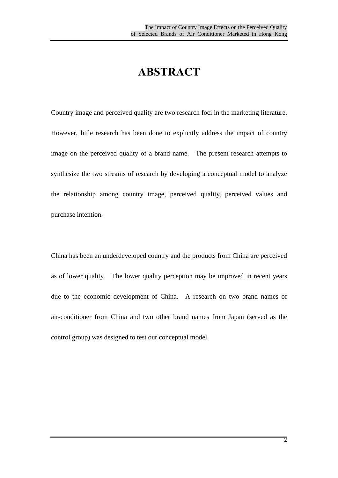## **ABSTRACT**

Country image and perceived quality are two research foci in the marketing literature. However, little research has been done to explicitly address the impact of country image on the perceived quality of a brand name. The present research attempts to synthesize the two streams of research by developing a conceptual model to analyze the relationship among country image, perceived quality, perceived values and purchase intention.

China has been an underdeveloped country and the products from China are perceived as of lower quality. The lower quality perception may be improved in recent years due to the economic development of China. A research on two brand names of air-conditioner from China and two other brand names from Japan (served as the control group) was designed to test our conceptual model.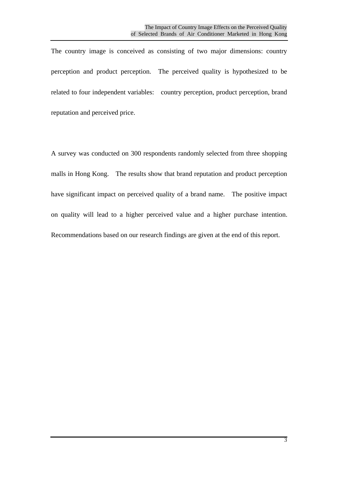The country image is conceived as consisting of two major dimensions: country perception and product perception. The perceived quality is hypothesized to be related to four independent variables: country perception, product perception, brand reputation and perceived price.

A survey was conducted on 300 respondents randomly selected from three shopping malls in Hong Kong. The results show that brand reputation and product perception have significant impact on perceived quality of a brand name. The positive impact on quality will lead to a higher perceived value and a higher purchase intention. Recommendations based on our research findings are given at the end of this report.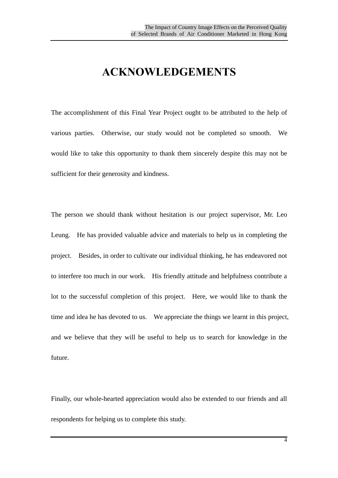## **ACKNOWLEDGEMENTS**

The accomplishment of this Final Year Project ought to be attributed to the help of various parties. Otherwise, our study would not be completed so smooth. We would like to take this opportunity to thank them sincerely despite this may not be sufficient for their generosity and kindness.

The person we should thank without hesitation is our project supervisor, Mr. Leo Leung. He has provided valuable advice and materials to help us in completing the project. Besides, in order to cultivate our individual thinking, he has endeavored not to interfere too much in our work. His friendly attitude and helpfulness contribute a lot to the successful completion of this project. Here, we would like to thank the time and idea he has devoted to us. We appreciate the things we learnt in this project, and we believe that they will be useful to help us to search for knowledge in the future.

Finally, our whole-hearted appreciation would also be extended to our friends and all respondents for helping us to complete this study.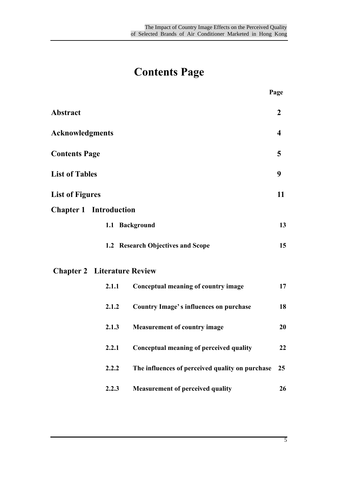## **Contents Page**

| <b>Abstract</b>               |                                    |                                                 | $\mathbf{2}$ |
|-------------------------------|------------------------------------|-------------------------------------------------|--------------|
| <b>Acknowledgments</b>        |                                    |                                                 | 4            |
| <b>Contents Page</b>          |                                    |                                                 | 5            |
| <b>List of Tables</b>         |                                    |                                                 | 9            |
| <b>List of Figures</b>        |                                    |                                                 | 11           |
| <b>Chapter 1 Introduction</b> |                                    |                                                 |              |
|                               |                                    | 1.1 Background                                  | 13           |
|                               |                                    | 1.2 Research Objectives and Scope               | 15           |
|                               | <b>Chapter 2</b> Literature Review |                                                 |              |
|                               | 2.1.1                              | Conceptual meaning of country image             | 17           |
|                               | 2.1.2                              | <b>Country Image's influences on purchase</b>   | 18           |
|                               | 2.1.3                              | <b>Measurement of country image</b>             | 20           |
|                               | 2.2.1                              | Conceptual meaning of perceived quality         | 22           |
|                               | 2.2.2                              | The influences of perceived quality on purchase | 25           |
|                               | 2.2.3                              | <b>Measurement of perceived quality</b>         | 26           |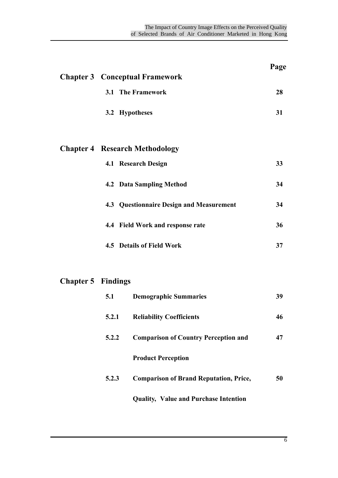| <b>Chapter 3 Conceptual Framework</b>    | Page |
|------------------------------------------|------|
| <b>3.1 The Framework</b>                 | 28   |
| 3.2 Hypotheses                           | 31   |
| <b>Chapter 4 Research Methodology</b>    |      |
| 4.1 Research Design                      | 33   |
| <b>4.2 Data Sampling Method</b>          | 34   |
| 4.3 Questionnaire Design and Measurement | 34   |
| 4.4 Field Work and response rate         | 36   |
| 4.5 Details of Field Work                | 37   |
|                                          |      |

## **Chapter 5 Findings**

| 5.1   | <b>Demographic Summaries</b>                  | 39 |
|-------|-----------------------------------------------|----|
| 5.2.1 | <b>Reliability Coefficients</b>               | 46 |
| 5.2.2 | <b>Comparison of Country Perception and</b>   | 47 |
|       | <b>Product Perception</b>                     |    |
| 5.2.3 | <b>Comparison of Brand Reputation, Price,</b> | 50 |
|       | <b>Quality, Value and Purchase Intention</b>  |    |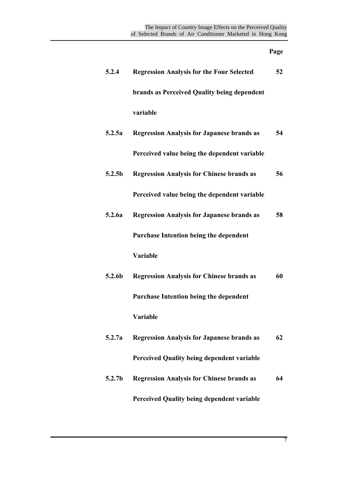### **Page**

| 5.2.4              | <b>Regression Analysis for the Four Selected</b>  | 52 |
|--------------------|---------------------------------------------------|----|
|                    | brands as Perceived Quality being dependent       |    |
|                    | variable                                          |    |
| 5.2.5a             | <b>Regression Analysis for Japanese brands as</b> | 54 |
|                    | Perceived value being the dependent variable      |    |
| 5.2.5 <sub>b</sub> | <b>Regression Analysis for Chinese brands as</b>  | 56 |
|                    | Perceived value being the dependent variable      |    |
| 5.2.6a             | <b>Regression Analysis for Japanese brands as</b> | 58 |
|                    | <b>Purchase Intention being the dependent</b>     |    |
|                    | Variable                                          |    |
| 5.2.6b             | <b>Regression Analysis for Chinese brands as</b>  | 60 |
|                    | <b>Purchase Intention being the dependent</b>     |    |
|                    | Variable                                          |    |
| 5.2.7a             | <b>Regression Analysis for Japanese brands as</b> | 62 |
|                    | <b>Perceived Quality being dependent variable</b> |    |
| 5.2.7 <sub>b</sub> | <b>Regression Analysis for Chinese brands as</b>  | 64 |
|                    | <b>Perceived Quality being dependent variable</b> |    |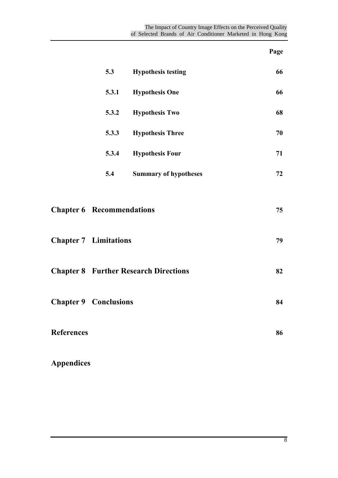## **Page**

|                   | 5.3                              | <b>Hypothesis testing</b>                    | 66 |
|-------------------|----------------------------------|----------------------------------------------|----|
|                   | 5.3.1                            | <b>Hypothesis One</b>                        | 66 |
|                   | 5.3.2                            | <b>Hypothesis Two</b>                        | 68 |
|                   | 5.3.3                            | <b>Hypothesis Three</b>                      | 70 |
|                   | 5.3.4                            | <b>Hypothesis Four</b>                       | 71 |
|                   | 5.4                              | <b>Summary of hypotheses</b>                 | 72 |
|                   |                                  |                                              |    |
|                   | <b>Chapter 6 Recommendations</b> |                                              | 75 |
|                   | <b>Chapter 7 Limitations</b>     |                                              | 79 |
|                   |                                  | <b>Chapter 8 Further Research Directions</b> | 82 |
|                   | <b>Chapter 9 Conclusions</b>     |                                              | 84 |
| <b>References</b> |                                  |                                              | 86 |
|                   |                                  |                                              |    |

**Appendices**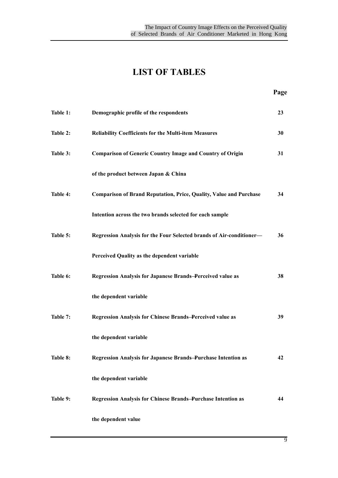## **LIST OF TABLES**

| Table 1: | Demographic profile of the respondents                                    | 23 |
|----------|---------------------------------------------------------------------------|----|
| Table 2: | Reliability Coefficients for the Multi-item Measures                      | 30 |
| Table 3: | <b>Comparison of Generic Country Image and Country of Origin</b>          | 31 |
|          | of the product between Japan & China                                      |    |
| Table 4: | <b>Comparison of Brand Reputation, Price, Quality, Value and Purchase</b> | 34 |
|          | Intention across the two brands selected for each sample                  |    |
| Table 5: | Regression Analysis for the Four Selected brands of Air-conditioner-      | 36 |
|          | Perceived Quality as the dependent variable                               |    |
| Table 6: | Regression Analysis for Japanese Brands-Perceived value as                | 38 |
|          | the dependent variable                                                    |    |
| Table 7: | <b>Regression Analysis for Chinese Brands-Perceived value as</b>          | 39 |
|          | the dependent variable                                                    |    |
| Table 8: | <b>Regression Analysis for Japanese Brands-Purchase Intention as</b>      | 42 |
|          | the dependent variable                                                    |    |
| Table 9: | <b>Regression Analysis for Chinese Brands-Purchase Intention as</b>       | 44 |
|          | the dependent value                                                       |    |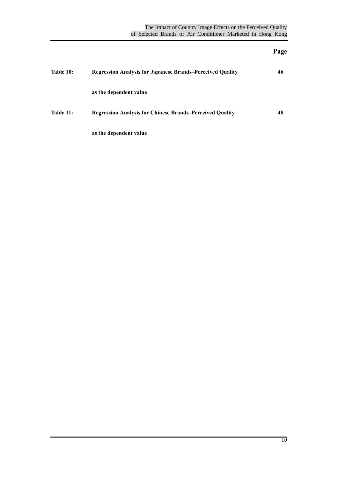### **Page**

| Table 10: | <b>Regression Analysis for Japanese Brands-Perceived Quality</b> | 46 |
|-----------|------------------------------------------------------------------|----|
|           | as the dependent value                                           |    |
| Table 11: | <b>Regression Analysis for Chinese Brands–Perceived Quality</b>  | 48 |
|           | as the dependent value                                           |    |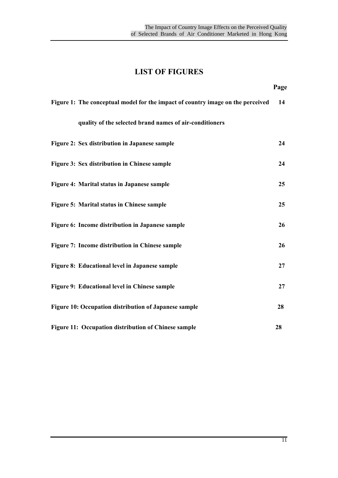### **LIST OF FIGURES**

| Figure 1: The conceptual model for the impact of country image on the perceived | 14 |
|---------------------------------------------------------------------------------|----|
| quality of the selected brand names of air-conditioners                         |    |
| Figure 2: Sex distribution in Japanese sample                                   | 24 |
| Figure 3: Sex distribution in Chinese sample                                    | 24 |
| Figure 4: Marital status in Japanese sample                                     | 25 |
| Figure 5: Marital status in Chinese sample                                      | 25 |
| Figure 6: Income distribution in Japanese sample                                | 26 |
| Figure 7: Income distribution in Chinese sample                                 | 26 |
| Figure 8: Educational level in Japanese sample                                  | 27 |
| Figure 9: Educational level in Chinese sample                                   | 27 |
| Figure 10: Occupation distribution of Japanese sample                           | 28 |
| Figure 11: Occupation distribution of Chinese sample                            | 28 |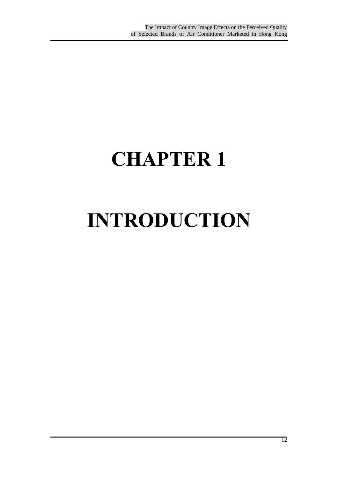# **CHAPTER 1**

# **INTRODUCTION**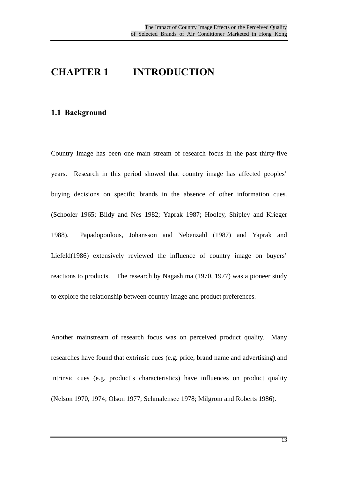## **CHAPTER 1 INTRODUCTION**

#### **1.1 Background**

Country Image has been one main stream of research focus in the past thirty-five years. Research in this period showed that country image has affected peoples' buying decisions on specific brands in the absence of other information cues. (Schooler 1965; Bildy and Nes 1982; Yaprak 1987; Hooley, Shipley and Krieger 1988). Papadopoulous, Johansson and Nebenzahl (1987) and Yaprak and Liefeld(1986) extensively reviewed the influence of country image on buyers' reactions to products. The research by Nagashima (1970, 1977) was a pioneer study to explore the relationship between country image and product preferences.

Another mainstream of research focus was on perceived product quality. Many researches have found that extrinsic cues (e.g. price, brand name and advertising) and intrinsic cues (e.g. product's characteristics) have influences on product quality (Nelson 1970, 1974; Olson 1977; Schmalensee 1978; Milgrom and Roberts 1986).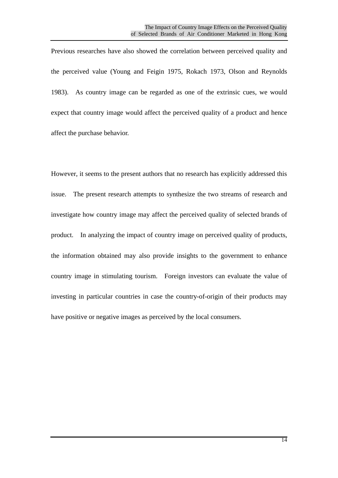Previous researches have also showed the correlation between perceived quality and the perceived value (Young and Feigin 1975, Rokach 1973, Olson and Reynolds 1983). As country image can be regarded as one of the extrinsic cues, we would expect that country image would affect the perceived quality of a product and hence affect the purchase behavior.

However, it seems to the present authors that no research has explicitly addressed this issue. The present research attempts to synthesize the two streams of research and investigate how country image may affect the perceived quality of selected brands of product. In analyzing the impact of country image on perceived quality of products, the information obtained may also provide insights to the government to enhance country image in stimulating tourism. Foreign investors can evaluate the value of investing in particular countries in case the country-of-origin of their products may have positive or negative images as perceived by the local consumers.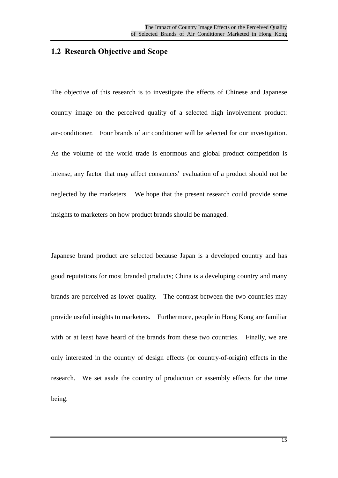#### **1.2 Research Objective and Scope**

The objective of this research is to investigate the effects of Chinese and Japanese country image on the perceived quality of a selected high involvement product: air-conditioner. Four brands of air conditioner will be selected for our investigation. As the volume of the world trade is enormous and global product competition is intense, any factor that may affect consumers' evaluation of a product should not be neglected by the marketers. We hope that the present research could provide some insights to marketers on how product brands should be managed.

Japanese brand product are selected because Japan is a developed country and has good reputations for most branded products; China is a developing country and many brands are perceived as lower quality. The contrast between the two countries may provide useful insights to marketers. Furthermore, people in Hong Kong are familiar with or at least have heard of the brands from these two countries. Finally, we are only interested in the country of design effects (or country-of-origin) effects in the research. We set aside the country of production or assembly effects for the time being.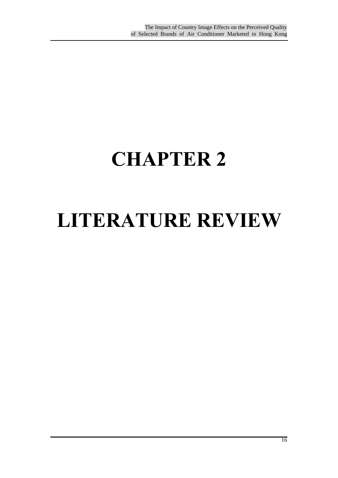## **CHAPTER 2**

## **LITERATURE REVIEW**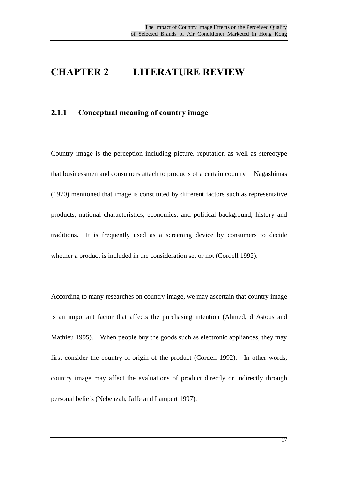### **CHAPTER 2 LITERATURE REVIEW**

#### **2.1.1 Conceptual meaning of country image**

Country image is the perception including picture, reputation as well as stereotype that businessmen and consumers attach to products of a certain country. Nagashimas (1970) mentioned that image is constituted by different factors such as representative products, national characteristics, economics, and political background, history and traditions. It is frequently used as a screening device by consumers to decide whether a product is included in the consideration set or not (Cordell 1992).

According to many researches on country image, we may ascertain that country image is an important factor that affects the purchasing intention (Ahmed, d'Astous and Mathieu 1995). When people buy the goods such as electronic appliances, they may first consider the country-of-origin of the product (Cordell 1992). In other words, country image may affect the evaluations of product directly or indirectly through personal beliefs (Nebenzah, Jaffe and Lampert 1997).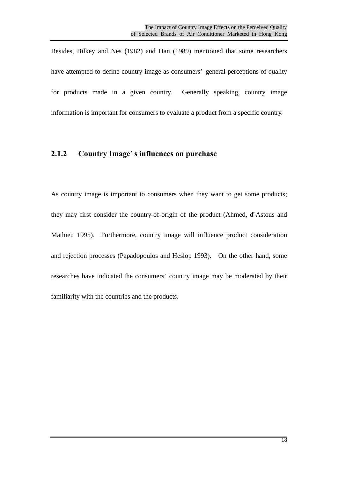Besides, Bilkey and Nes (1982) and Han (1989) mentioned that some researchers have attempted to define country image as consumers' general perceptions of quality for products made in a given country. Generally speaking, country image information is important for consumers to evaluate a product from a specific country.

#### **2.1.2 Country Image's influences on purchase**

As country image is important to consumers when they want to get some products; they may first consider the country-of-origin of the product (Ahmed, d'Astous and Mathieu 1995). Furthermore, country image will influence product consideration and rejection processes (Papadopoulos and Heslop 1993). On the other hand, some researches have indicated the consumers' country image may be moderated by their familiarity with the countries and the products.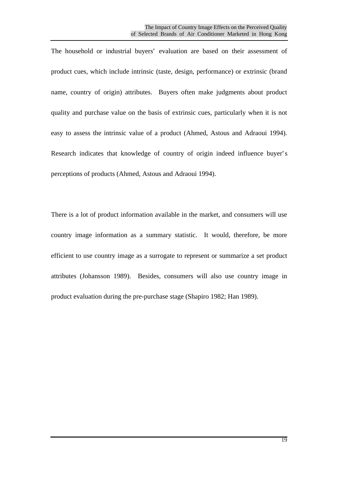The household or industrial buyers' evaluation are based on their assessment of product cues, which include intrinsic (taste, design, performance) or extrinsic (brand name, country of origin) attributes. Buyers often make judgments about product quality and purchase value on the basis of extrinsic cues, particularly when it is not easy to assess the intrinsic value of a product (Ahmed, Astous and Adraoui 1994). Research indicates that knowledge of country of origin indeed influence buyer's perceptions of products (Ahmed, Astous and Adraoui 1994).

There is a lot of product information available in the market, and consumers will use country image information as a summary statistic. It would, therefore, be more efficient to use country image as a surrogate to represent or summarize a set product attributes (Johansson 1989). Besides, consumers will also use country image in product evaluation during the pre-purchase stage (Shapiro 1982; Han 1989).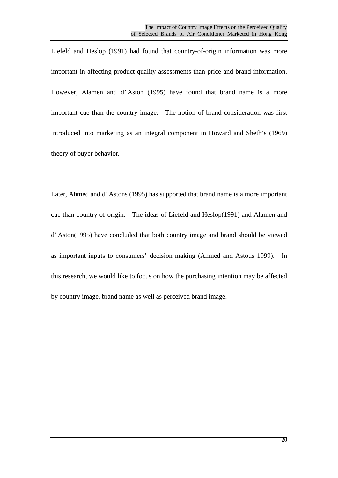Liefeld and Heslop (1991) had found that country-of-origin information was more important in affecting product quality assessments than price and brand information. However, Alamen and d'Aston (1995) have found that brand name is a more important cue than the country image. The notion of brand consideration was first introduced into marketing as an integral component in Howard and Sheth's (1969) theory of buyer behavior.

Later, Ahmed and d'Astons (1995) has supported that brand name is a more important cue than country-of-origin. The ideas of Liefeld and Heslop(1991) and Alamen and d'Aston(1995) have concluded that both country image and brand should be viewed as important inputs to consumers' decision making (Ahmed and Astous 1999). In this research, we would like to focus on how the purchasing intention may be affected by country image, brand name as well as perceived brand image.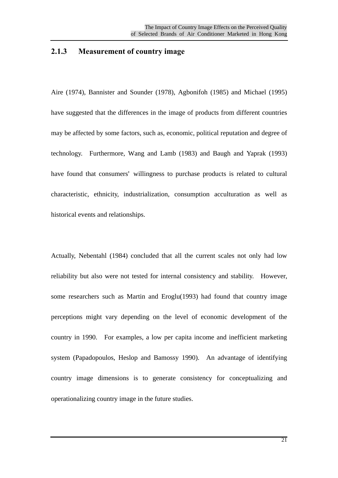#### **2.1.3 Measurement of country image**

Aire (1974), Bannister and Sounder (1978), Agbonifoh (1985) and Michael (1995) have suggested that the differences in the image of products from different countries may be affected by some factors, such as, economic, political reputation and degree of technology. Furthermore, Wang and Lamb (1983) and Baugh and Yaprak (1993) have found that consumers' willingness to purchase products is related to cultural characteristic, ethnicity, industrialization, consumption acculturation as well as historical events and relationships.

Actually, Nebentahl (1984) concluded that all the current scales not only had low reliability but also were not tested for internal consistency and stability. However, some researchers such as Martin and Eroglu(1993) had found that country image perceptions might vary depending on the level of economic development of the country in 1990. For examples, a low per capita income and inefficient marketing system (Papadopoulos, Heslop and Bamossy 1990). An advantage of identifying country image dimensions is to generate consistency for conceptualizing and operationalizing country image in the future studies.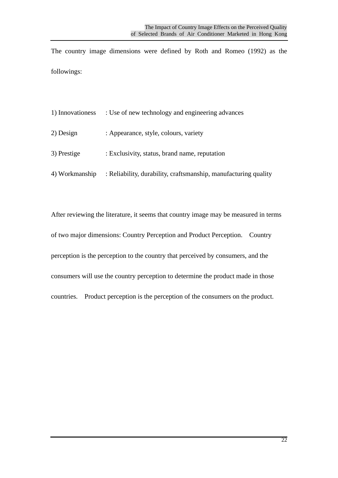The country image dimensions were defined by Roth and Romeo (1992) as the followings:

| 1) Innovationess | : Use of new technology and engineering advances                |
|------------------|-----------------------------------------------------------------|
| 2) Design        | : Appearance, style, colours, variety                           |
| 3) Prestige      | : Exclusivity, status, brand name, reputation                   |
| 4) Workmanship   | : Reliability, durability, craftsmanship, manufacturing quality |

After reviewing the literature, it seems that country image may be measured in terms of two major dimensions: Country Perception and Product Perception. Country perception is the perception to the country that perceived by consumers, and the consumers will use the country perception to determine the product made in those countries. Product perception is the perception of the consumers on the product.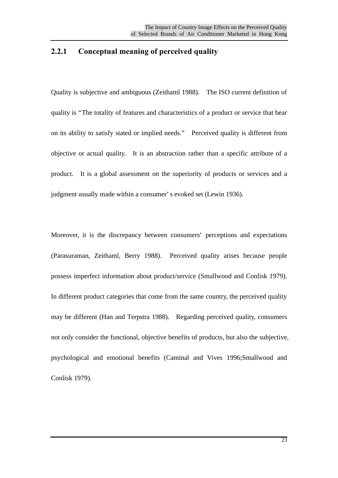#### **2.2.1 Conceptual meaning of perceived quality**

Quality is subjective and ambiguous (Zeithaml 1988). The ISO current definition of quality is "The totality of features and characteristics of a product or service that bear on its ability to satisfy stated or implied needs." Perceived quality is different from objective or actual quality. It is an abstraction rather than a specific attribute of a product. It is a global assessment on the superiority of products or services and a judgment usually made within a consumer's evoked set (Lewin 1936).

Moreover, it is the discrepancy between consumers' perceptions and expectations (Parasuraman, Zeithaml, Berry 1988). Perceived quality arises because people possess imperfect information about product/service (Smallwood and Conlisk 1979). In different product categories that come from the same country, the perceived quality may be different (Han and Terpstra 1988). Regarding perceived quality, consumers not only consider the functional, objective benefits of products, but also the subjective, psychological and emotional benefits (Caminal and Vives 1996;Smallwood and Conlisk 1979).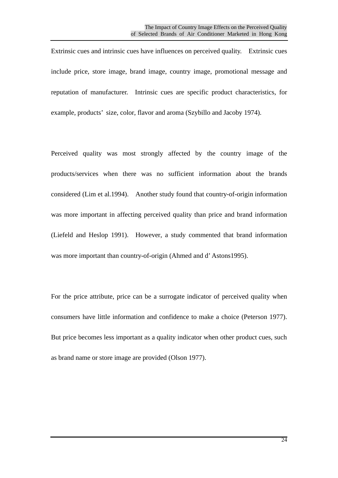Extrinsic cues and intrinsic cues have influences on perceived quality. Extrinsic cues include price, store image, brand image, country image, promotional message and reputation of manufacturer. Intrinsic cues are specific product characteristics, for example, products' size, color, flavor and aroma (Szybillo and Jacoby 1974).

Perceived quality was most strongly affected by the country image of the products/services when there was no sufficient information about the brands considered (Lim et al.1994). Another study found that country-of-origin information was more important in affecting perceived quality than price and brand information (Liefeld and Heslop 1991). However, a study commented that brand information was more important than country-of-origin (Ahmed and d'Astons1995).

For the price attribute, price can be a surrogate indicator of perceived quality when consumers have little information and confidence to make a choice (Peterson 1977). But price becomes less important as a quality indicator when other product cues, such as brand name or store image are provided (Olson 1977).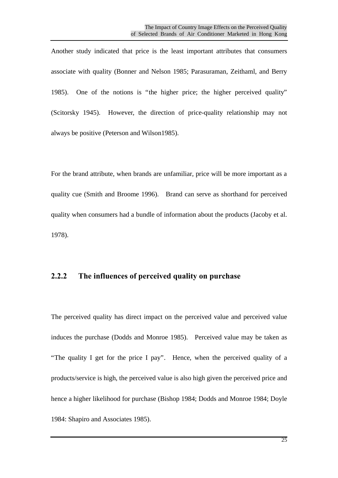Another study indicated that price is the least important attributes that consumers associate with quality (Bonner and Nelson 1985; Parasuraman, Zeithaml, and Berry 1985). One of the notions is "the higher price; the higher perceived quality" (Scitorsky 1945). However, the direction of price-quality relationship may not always be positive (Peterson and Wilson1985).

For the brand attribute, when brands are unfamiliar, price will be more important as a quality cue (Smith and Broome 1996). Brand can serve as shorthand for perceived quality when consumers had a bundle of information about the products (Jacoby et al. 1978).

#### **2.2.2 The influences of perceived quality on purchase**

The perceived quality has direct impact on the perceived value and perceived value induces the purchase (Dodds and Monroe 1985). Perceived value may be taken as "The quality I get for the price I pay". Hence, when the perceived quality of a products/service is high, the perceived value is also high given the perceived price and hence a higher likelihood for purchase (Bishop 1984; Dodds and Monroe 1984; Doyle 1984: Shapiro and Associates 1985).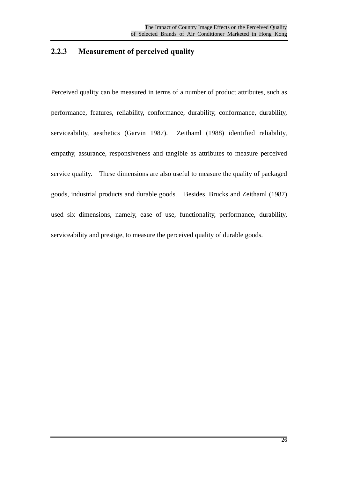### **2.2.3 Measurement of perceived quality**

Perceived quality can be measured in terms of a number of product attributes, such as performance, features, reliability, conformance, durability, conformance, durability, serviceability, aesthetics (Garvin 1987). Zeithaml (1988) identified reliability, empathy, assurance, responsiveness and tangible as attributes to measure perceived service quality. These dimensions are also useful to measure the quality of packaged goods, industrial products and durable goods. Besides, Brucks and Zeithaml (1987) used six dimensions, namely, ease of use, functionality, performance, durability, serviceability and prestige, to measure the perceived quality of durable goods.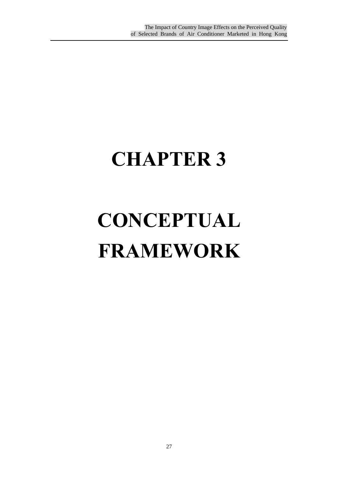# **CHAPTER 3**

# **CONCEPTUAL FRAMEWORK**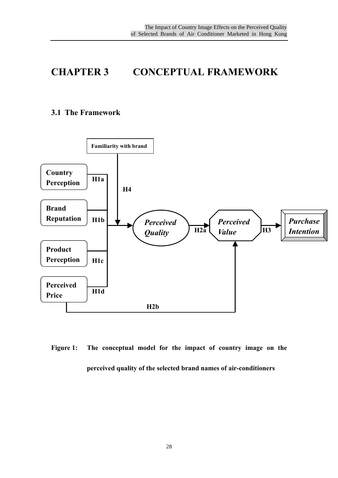## **CHAPTER 3 CONCEPTUAL FRAMEWORK**

#### **3.1 The Framework**



**Figure 1: The conceptual model for the impact of country image on the perceived quality of the selected brand names of air-conditioners**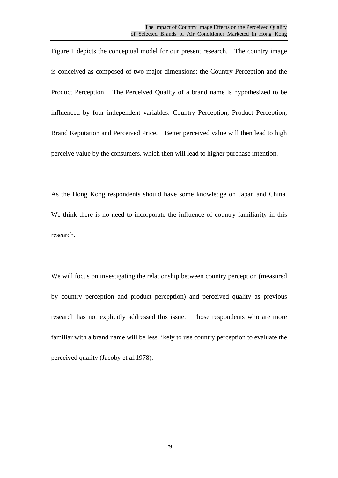Figure 1 depicts the conceptual model for our present research. The country image is conceived as composed of two major dimensions: the Country Perception and the Product Perception. The Perceived Quality of a brand name is hypothesized to be influenced by four independent variables: Country Perception, Product Perception, Brand Reputation and Perceived Price. Better perceived value will then lead to high perceive value by the consumers, which then will lead to higher purchase intention.

As the Hong Kong respondents should have some knowledge on Japan and China. We think there is no need to incorporate the influence of country familiarity in this research.

We will focus on investigating the relationship between country perception (measured by country perception and product perception) and perceived quality as previous research has not explicitly addressed this issue. Those respondents who are more familiar with a brand name will be less likely to use country perception to evaluate the perceived quality (Jacoby et al.1978).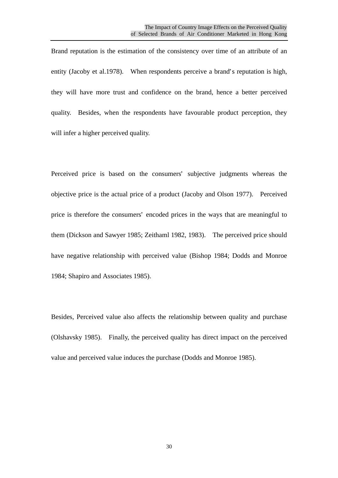Brand reputation is the estimation of the consistency over time of an attribute of an entity (Jacoby et al.1978). When respondents perceive a brand's reputation is high, they will have more trust and confidence on the brand, hence a better perceived quality. Besides, when the respondents have favourable product perception, they will infer a higher perceived quality.

Perceived price is based on the consumers' subjective judgments whereas the objective price is the actual price of a product (Jacoby and Olson 1977). Perceived price is therefore the consumers' encoded prices in the ways that are meaningful to them (Dickson and Sawyer 1985; Zeithaml 1982, 1983). The perceived price should have negative relationship with perceived value (Bishop 1984; Dodds and Monroe 1984; Shapiro and Associates 1985).

Besides, Perceived value also affects the relationship between quality and purchase (Olshavsky 1985). Finally, the perceived quality has direct impact on the perceived value and perceived value induces the purchase (Dodds and Monroe 1985).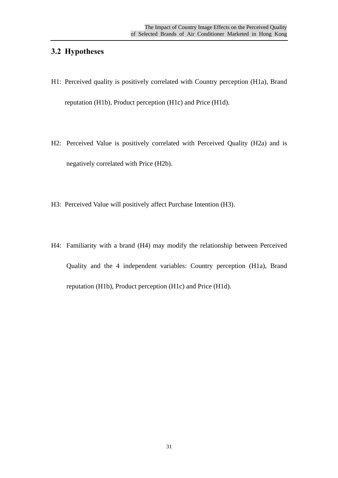#### **3.2 Hypotheses**

- H1: Perceived quality is positively correlated with Country perception (H1a), Brand reputation (H1b), Product perception (H1c) and Price (H1d).
- H2: Perceived Value is positively correlated with Perceived Quality (H2a) and is negatively correlated with Price (H2b).
- H3: Perceived Value will positively affect Purchase Intention (H3).
- H4: Familiarity with a brand (H4) may modify the relationship between Perceived Quality and the 4 independent variables: Country perception (H1a), Brand reputation (H1b), Product perception (H1c) and Price (H1d).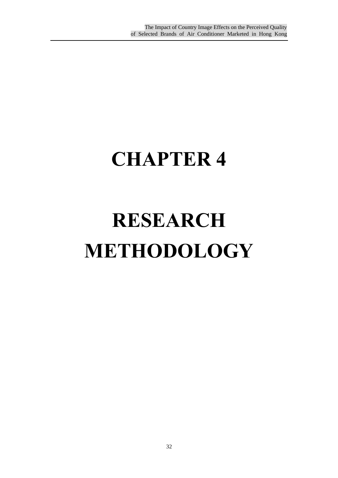## **CHAPTER 4**

# **RESEARCH METHODOLOGY**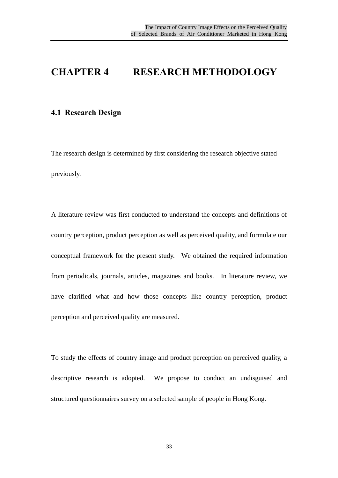### **CHAPTER 4 RESEARCH METHODOLOGY**

#### **4.1 Research Design**

The research design is determined by first considering the research objective stated previously.

A literature review was first conducted to understand the concepts and definitions of country perception, product perception as well as perceived quality, and formulate our conceptual framework for the present study. We obtained the required information from periodicals, journals, articles, magazines and books. In literature review, we have clarified what and how those concepts like country perception, product perception and perceived quality are measured.

To study the effects of country image and product perception on perceived quality, a descriptive research is adopted. We propose to conduct an undisguised and structured questionnaires survey on a selected sample of people in Hong Kong.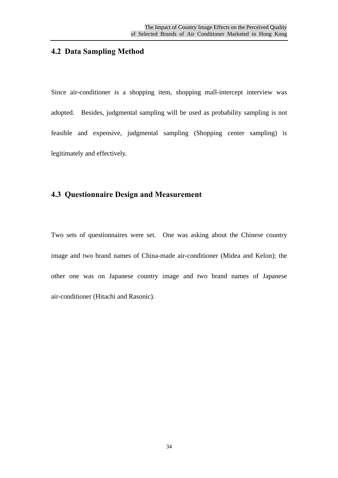#### **4.2 Data Sampling Method**

Since air-conditioner is a shopping item, shopping mall-intercept interview was adopted. Besides, judgmental sampling will be used as probability sampling is not feasible and expensive, judgmental sampling (Shopping center sampling) is legitimately and effectively.

### **4.3 Questionnaire Design and Measurement**

Two sets of questionnaires were set. One was asking about the Chinese country image and two brand names of China-made air-conditioner (Midea and Kelon); the other one was on Japanese country image and two brand names of Japanese air-conditioner (Hitachi and Rasonic).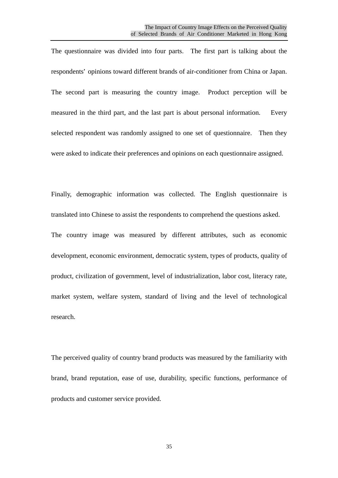The questionnaire was divided into four parts. The first part is talking about the respondents' opinions toward different brands of air-conditioner from China or Japan. The second part is measuring the country image. Product perception will be measured in the third part, and the last part is about personal information. Every selected respondent was randomly assigned to one set of questionnaire. Then they were asked to indicate their preferences and opinions on each questionnaire assigned.

Finally, demographic information was collected. The English questionnaire is translated into Chinese to assist the respondents to comprehend the questions asked. The country image was measured by different attributes, such as economic development, economic environment, democratic system, types of products, quality of product, civilization of government, level of industrialization, labor cost, literacy rate, market system, welfare system, standard of living and the level of technological research.

The perceived quality of country brand products was measured by the familiarity with brand, brand reputation, ease of use, durability, specific functions, performance of products and customer service provided.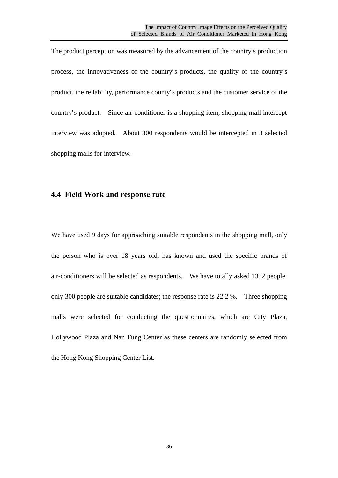The product perception was measured by the advancement of the country's production process, the innovativeness of the country's products, the quality of the country's product, the reliability, performance county's products and the customer service of the country's product. Since air-conditioner is a shopping item, shopping mall intercept interview was adopted. About 300 respondents would be intercepted in 3 selected shopping malls for interview.

#### **4.4 Field Work and response rate**

We have used 9 days for approaching suitable respondents in the shopping mall, only the person who is over 18 years old, has known and used the specific brands of air-conditioners will be selected as respondents. We have totally asked 1352 people, only 300 people are suitable candidates; the response rate is 22.2 %. Three shopping malls were selected for conducting the questionnaires, which are City Plaza, Hollywood Plaza and Nan Fung Center as these centers are randomly selected from the Hong Kong Shopping Center List.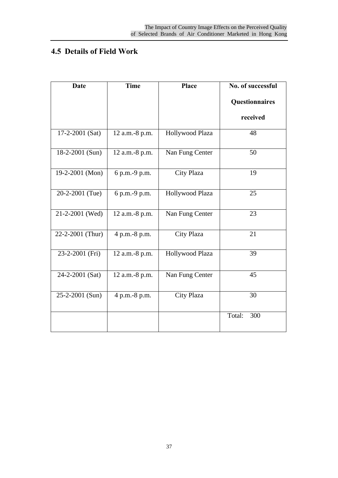# **4.5 Details of Field Work**

| <b>Date</b>      | <b>Time</b>    | <b>Place</b>      | No. of successful |
|------------------|----------------|-------------------|-------------------|
|                  |                |                   | Questionnaires    |
|                  |                |                   | received          |
| 17-2-2001 (Sat)  | 12 a.m.-8 p.m. | Hollywood Plaza   | 48                |
| 18-2-2001 (Sun)  | 12 a.m.-8 p.m. | Nan Fung Center   | 50                |
| 19-2-2001 (Mon)  | 6 p.m.-9 p.m.  | City Plaza        | 19                |
| 20-2-2001 (Tue)  | 6 p.m.-9 p.m.  | Hollywood Plaza   | 25                |
| 21-2-2001 (Wed)  | 12 a.m.-8 p.m. | Nan Fung Center   | 23                |
| 22-2-2001 (Thur) | 4 p.m.-8 p.m.  | <b>City Plaza</b> | 21                |
| 23-2-2001 (Fri)  | 12 a.m.-8 p.m. | Hollywood Plaza   | 39                |
| 24-2-2001 (Sat)  | 12 a.m.-8 p.m. | Nan Fung Center   | 45                |
| 25-2-2001 (Sun)  | 4 p.m.-8 p.m.  | <b>City Plaza</b> | 30                |
|                  |                |                   | Total:<br>300     |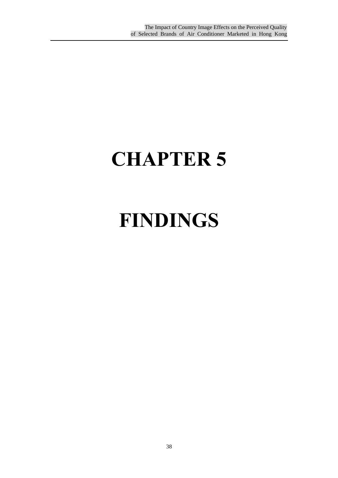# **CHAPTER 5**

# **FINDINGS**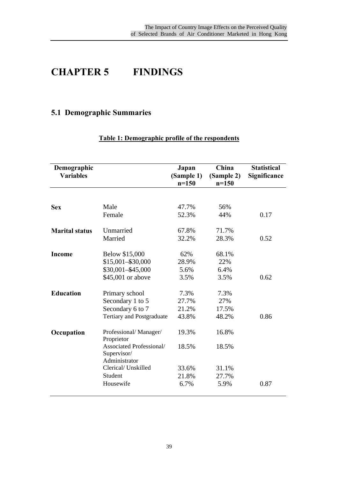# **CHAPTER 5 FINDINGS**

# **5.1 Demographic Summaries**

| Demographic<br><b>Variables</b> |                                         | Japan<br>(Sample 1)<br>$n=150$ | China<br>(Sample 2)<br>$n = 150$ | <b>Statistical</b><br>Significance |
|---------------------------------|-----------------------------------------|--------------------------------|----------------------------------|------------------------------------|
|                                 |                                         |                                |                                  |                                    |
| <b>Sex</b>                      | Male                                    | 47.7%                          | 56%                              |                                    |
|                                 | Female                                  | 52.3%                          | 44%                              | 0.17                               |
| <b>Marital status</b>           | Unmarried                               | 67.8%                          | 71.7%                            |                                    |
|                                 | Married                                 | 32.2%                          | 28.3%                            | 0.52                               |
| <b>Income</b>                   | Below \$15,000                          | 62%                            | 68.1%                            |                                    |
|                                 | $$15,001 - $30,000$                     | 28.9%                          | 22%                              |                                    |
|                                 | $$30,001 - $45,000$                     | 5.6%                           | 6.4%                             |                                    |
|                                 | \$45,001 or above                       | 3.5%                           | 3.5%                             | 0.62                               |
| <b>Education</b>                | Primary school                          | 7.3%                           | 7.3%                             |                                    |
|                                 | Secondary 1 to 5                        | 27.7%                          | 27%                              |                                    |
|                                 | Secondary 6 to 7                        | 21.2%                          | 17.5%                            |                                    |
|                                 | <b>Tertiary and Postgraduate</b>        | 43.8%                          | 48.2%                            | 0.86                               |
| Occupation                      | Professional/Manager/<br>Proprietor     | 19.3%                          | 16.8%                            |                                    |
|                                 | Associated Professional/<br>Supervisor/ | 18.5%                          | 18.5%                            |                                    |
|                                 | Administrator                           |                                |                                  |                                    |
|                                 | Clerical/ Unskilled                     | 33.6%                          | 31.1%                            |                                    |
|                                 | Student                                 | 21.8%                          | 27.7%                            |                                    |
|                                 | Housewife                               | 6.7%                           | 5.9%                             | 0.87                               |

# **Table 1: Demographic profile of the respondents**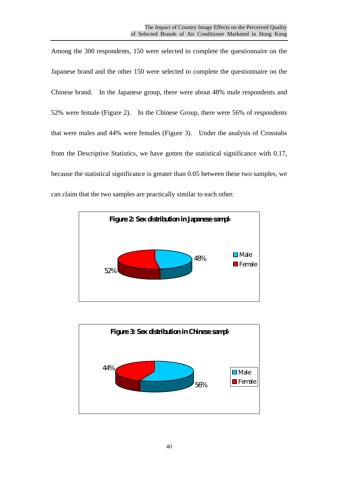Among the 300 respondents, 150 were selected to complete the questionnaire on the Japanese brand and the other 150 were selected to complete the questionnaire on the Chinese brand. In the Japanese group, there were about 48% male respondents and 52% were female (Figure 2). In the Chinese Group, there were 56% of respondents that were males and 44% were females (Figure 3). Under the analysis of Crosstabs from the Descriptive Statistics, we have gotten the statistical significance with 0.17, because the statistical significance is greater than 0.05 between these two samples, we can claim that the two samples are practically similar to each other.



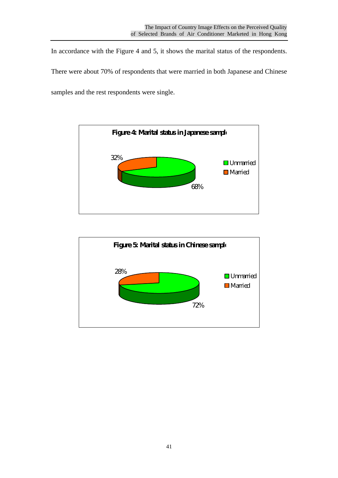In accordance with the Figure 4 and 5, it shows the marital status of the respondents.

There were about 70% of respondents that were married in both Japanese and Chinese samples and the rest respondents were single.



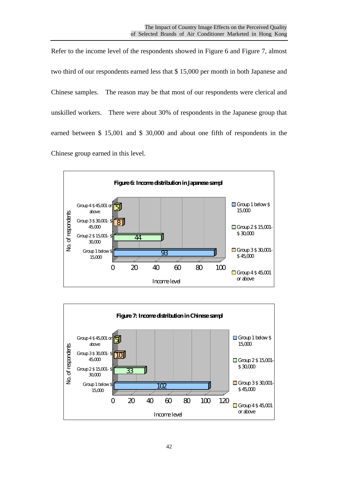Refer to the income level of the respondents showed in Figure 6 and Figure 7, almost two third of our respondents earned less that \$ 15,000 per month in both Japanese and Chinese samples. The reason may be that most of our respondents were clerical and unskilled workers. There were about 30% of respondents in the Japanese group that earned between \$ 15,001 and \$ 30,000 and about one fifth of respondents in the Chinese group earned in this level.



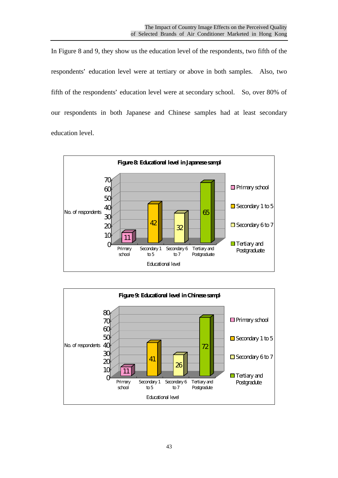In Figure 8 and 9, they show us the education level of the respondents, two fifth of the respondents' education level were at tertiary or above in both samples. Also, two fifth of the respondents' education level were at secondary school. So, over 80% of our respondents in both Japanese and Chinese samples had at least secondary education level.



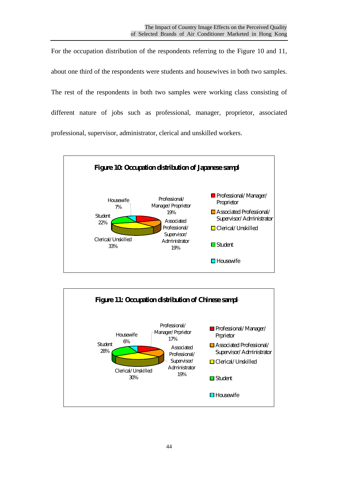For the occupation distribution of the respondents referring to the Figure 10 and 11, about one third of the respondents were students and housewives in both two samples. The rest of the respondents in both two samples were working class consisting of different nature of jobs such as professional, manager, proprietor, associated professional, supervisor, administrator, clerical and unskilled workers.



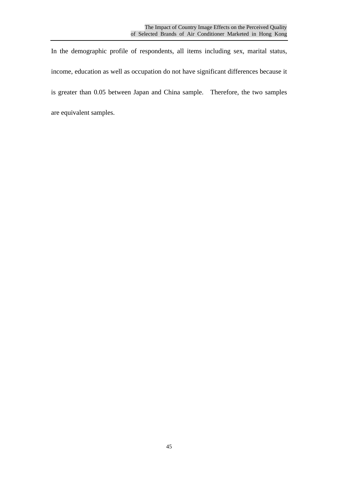In the demographic profile of respondents, all items including sex, marital status, income, education as well as occupation do not have significant differences because it is greater than 0.05 between Japan and China sample. Therefore, the two samples are equivalent samples.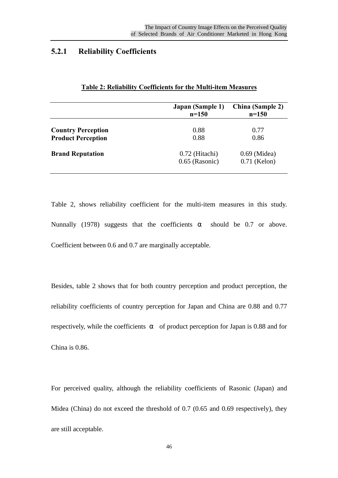#### **5.2.1 Reliability Coefficients**

|                           | Japan (Sample 1)<br>$n=150$ | <b>China</b> (Sample 2)<br>$n = 150$ |
|---------------------------|-----------------------------|--------------------------------------|
| <b>Country Perception</b> | 0.88                        | 0.77                                 |
| <b>Product Perception</b> | 0.88                        | 0.86                                 |
| <b>Brand Reputation</b>   | 0.72 (Hitachi)              | $0.69$ (Midea)                       |
|                           | $0.65$ (Rasonic)            | $0.71$ (Kelon)                       |

#### **Table 2: Reliability Coefficients for the Multi-item Measures**

Table 2, shows reliability coefficient for the multi-item measures in this study. Nunnally (1978) suggests that the coefficients should be 0.7 or above. Coefficient between 0.6 and 0.7 are marginally acceptable.

Besides, table 2 shows that for both country perception and product perception, the reliability coefficients of country perception for Japan and China are 0.88 and 0.77 respectively, while the coefficients of product perception for Japan is 0.88 and for China is 0.86.

For perceived quality, although the reliability coefficients of Rasonic (Japan) and Midea (China) do not exceed the threshold of 0.7 (0.65 and 0.69 respectively), they are still acceptable.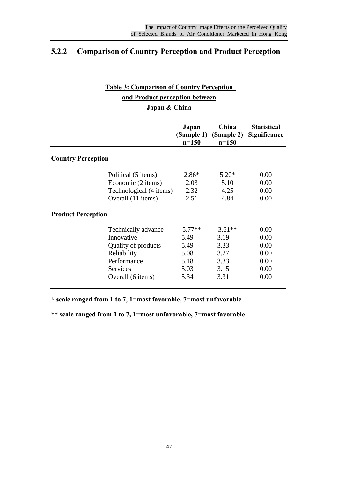# **5.2.2 Comparison of Country Perception and Product Perception**

# **Table 3: Comparison of Country Perception and Product perception between Japan & China**

|                           | Japan<br>$n=150$ | China<br>(Sample 1) (Sample 2)<br>$n=150$ | <b>Statistical</b><br>Significance |
|---------------------------|------------------|-------------------------------------------|------------------------------------|
| <b>Country Perception</b> |                  |                                           |                                    |
| Political (5 items)       | $2.86*$          | $5.20*$                                   | 0.00                               |
| Economic (2 items)        | 2.03             | 5.10                                      | 0.00                               |
| Technological (4 items)   | 2.32             | 4.25                                      | 0.00                               |
| Overall (11 items)        | 2.51             | 4.84                                      | 0.00                               |
| <b>Product Perception</b> |                  |                                           |                                    |
| Technically advance       | $5.77**$         | $3.61**$                                  | 0.00                               |
| Innovative                | 5.49             | 3.19                                      | 0.00                               |
| Quality of products       | 5.49             | 3.33                                      | 0.00                               |
| Reliability               | 5.08             | 3.27                                      | 0.00                               |
| Performance               | 5.18             | 3.33                                      | 0.00                               |
| <b>Services</b>           | 5.03             | 3.15                                      | 0.00                               |
| Overall (6 items)         | 5.34             | 3.31                                      | 0.00                               |

**\* scale ranged from 1 to 7, 1=most favorable, 7=most unfavorable**

\*\* **scale ranged from 1 to 7, 1=most unfavorable, 7=most favorable**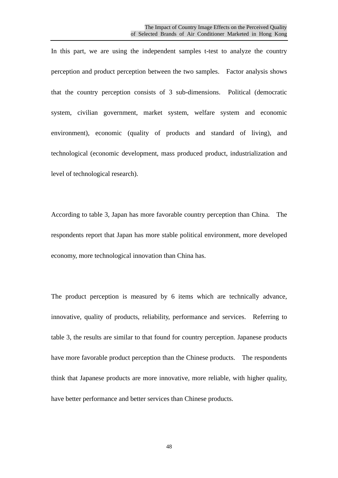In this part, we are using the independent samples t-test to analyze the country perception and product perception between the two samples. Factor analysis shows that the country perception consists of 3 sub-dimensions. Political (democratic system, civilian government, market system, welfare system and economic environment), economic (quality of products and standard of living), and technological (economic development, mass produced product, industrialization and level of technological research).

According to table 3, Japan has more favorable country perception than China. The respondents report that Japan has more stable political environment, more developed economy, more technological innovation than China has.

The product perception is measured by 6 items which are technically advance, innovative, quality of products, reliability, performance and services. Referring to table 3, the results are similar to that found for country perception. Japanese products have more favorable product perception than the Chinese products. The respondents think that Japanese products are more innovative, more reliable, with higher quality, have better performance and better services than Chinese products.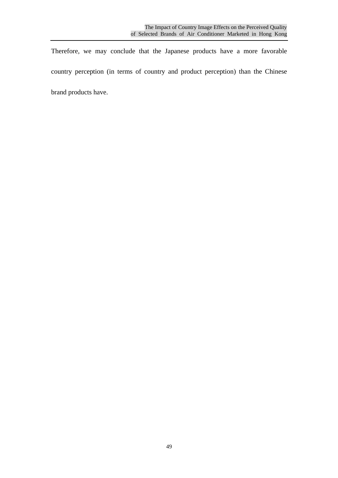Therefore, we may conclude that the Japanese products have a more favorable country perception (in terms of country and product perception) than the Chinese brand products have.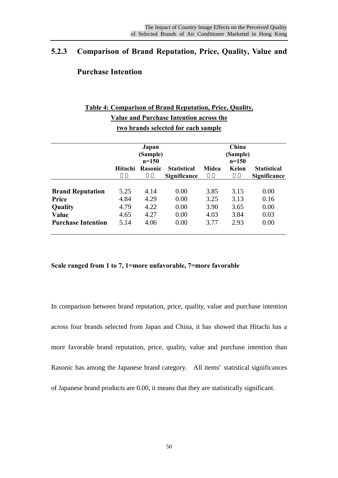# **5.2.3 Comparison of Brand Reputation, Price, Quality, Value and**

## **Purchase Intention**

# **Table 4: Comparison of Brand Reputation, Price, Quality, Value and Purchase Intention across the two brands selected for each sample**

|                           |         | Japan<br>(Sample)<br>$n=150$ |                                           |              | China<br>(Sample)<br>$n=150$ |                                           |
|---------------------------|---------|------------------------------|-------------------------------------------|--------------|------------------------------|-------------------------------------------|
|                           | Hitachi | <b>Rasonic</b>               | <b>Statistical</b><br><b>Significance</b> | <b>Midea</b> | Kelon                        | <b>Statistical</b><br><b>Significance</b> |
| <b>Brand Reputation</b>   | 5.25    | 4.14                         | 0.00                                      | 3.85         | 3.15                         | 0.00                                      |
| Price                     | 4.84    | 4.29                         | 0.00                                      | 3.25         | 3.13                         | 0.16                                      |
| Quality                   | 4.79    | 4.22                         | 0.00                                      | 3.90         | 3.65                         | 0.00                                      |
| Value                     | 4.65    | 4.27                         | 0.00                                      | 4.03         | 3.84                         | 0.03                                      |
| <b>Purchase Intention</b> | 5.14    | 4.06                         | 0.00                                      | 3.77         | 2.93                         | 0.00                                      |

**Scale ranged from 1 to 7, 1=more unfavorable, 7=more favorable**

In comparison between brand reputation, price, quality, value and purchase intention across four brands selected from Japan and China, it has showed that Hitachi has a more favorable brand reputation, price, quality, value and purchase intention than Rasonic has among the Japanese brand category. All items' statistical significances of Japanese brand products are 0.00, it means that they are statistically significant.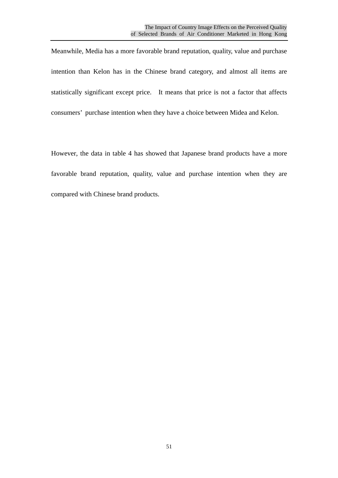Meanwhile, Media has a more favorable brand reputation, quality, value and purchase intention than Kelon has in the Chinese brand category, and almost all items are statistically significant except price. It means that price is not a factor that affects consumers' purchase intention when they have a choice between Midea and Kelon.

However, the data in table 4 has showed that Japanese brand products have a more favorable brand reputation, quality, value and purchase intention when they are compared with Chinese brand products.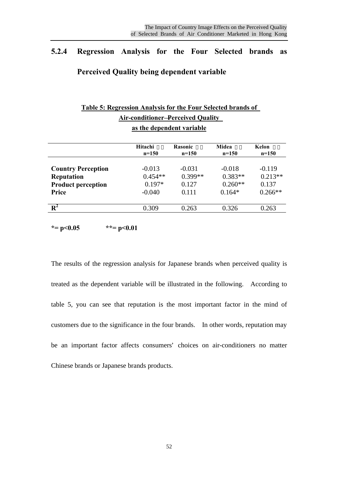# **5.2.4 Regression Analysis for the Four Selected brands as Perceived Quality being dependent variable**

| Table 5: Regression Analysis for the Four Selected brands of |                    |                    |                         |                  |  |  |  |
|--------------------------------------------------------------|--------------------|--------------------|-------------------------|------------------|--|--|--|
| <b>Air-conditioner-Perceived Quality</b>                     |                    |                    |                         |                  |  |  |  |
| as the dependent variable                                    |                    |                    |                         |                  |  |  |  |
|                                                              | Hitachi<br>$n=150$ | Rasonic<br>$n=150$ | <b>Midea</b><br>$n=150$ | Kelon<br>$n=150$ |  |  |  |
|                                                              |                    |                    |                         |                  |  |  |  |
| <b>Country Perception</b>                                    | $-0.013$           | $-0.031$           | $-0.018$                | $-0.119$         |  |  |  |
| <b>Reputation</b>                                            | $0.454**$          | $0.399**$          | $0.383**$               | $0.213**$        |  |  |  |
| <b>Product perception</b>                                    | $0.197*$           | 0.127              | $0.260**$               | 0.137            |  |  |  |
| Price                                                        | $-0.040$           | 0.111              | $0.164*$                | $0.266**$        |  |  |  |
| $\mathbf{R}^2$                                               | 0.309              | 0.263              | 0.326                   | 0.263            |  |  |  |

**\*= p<0.05 \*\*= p<0.01**

The results of the regression analysis for Japanese brands when perceived quality is treated as the dependent variable will be illustrated in the following. According to table 5, you can see that reputation is the most important factor in the mind of customers due to the significance in the four brands. In other words, reputation may be an important factor affects consumers' choices on air-conditioners no matter Chinese brands or Japanese brands products.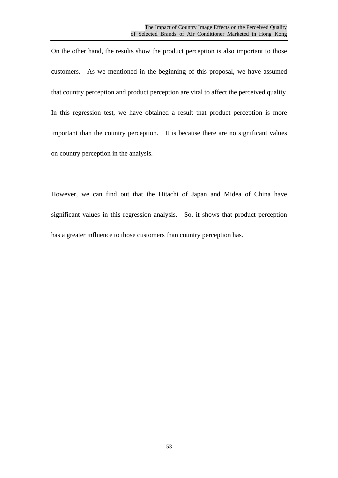On the other hand, the results show the product perception is also important to those customers. As we mentioned in the beginning of this proposal, we have assumed that country perception and product perception are vital to affect the perceived quality. In this regression test, we have obtained a result that product perception is more important than the country perception. It is because there are no significant values on country perception in the analysis.

However, we can find out that the Hitachi of Japan and Midea of China have significant values in this regression analysis. So, it shows that product perception has a greater influence to those customers than country perception has.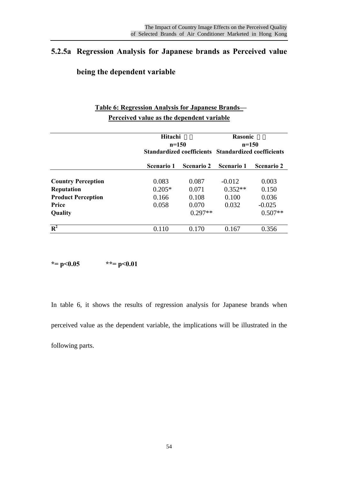# **5.2.5a Regression Analysis for Japanese brands as Perceived value**

# **being the dependent variable**

# **Table 6: Regression Analysis for Japanese Brands— Perceived value as the dependent variable**

|                           | Hitachi<br>$n=150$<br><b>Standardized coefficients</b> |                   | Rasonic<br>$n=150$<br><b>Standardized coefficients</b> |                   |
|---------------------------|--------------------------------------------------------|-------------------|--------------------------------------------------------|-------------------|
|                           | Scenario 1                                             | <b>Scenario 2</b> | <b>Scenario 1</b>                                      | <b>Scenario 2</b> |
| <b>Country Perception</b> | 0.083                                                  | 0.087             | $-0.012$                                               | 0.003             |
| <b>Reputation</b>         | $0.205*$                                               | 0.071             | $0.352**$                                              | 0.150             |
| <b>Product Perception</b> | 0.166                                                  | 0.108             | 0.100                                                  | 0.036             |
| Price                     | 0.058                                                  | 0.070             | 0.032                                                  | $-0.025$          |
| Quality                   |                                                        | $0.297**$         |                                                        | $0.507**$         |
| $\overline{\mathbf{R}^2}$ | 0.110                                                  | 0.170             | 0.167                                                  | 0.356             |

**\*= p<0.05 \*\*= p<0.01**

In table 6, it shows the results of regression analysis for Japanese brands when perceived value as the dependent variable, the implications will be illustrated in the following parts.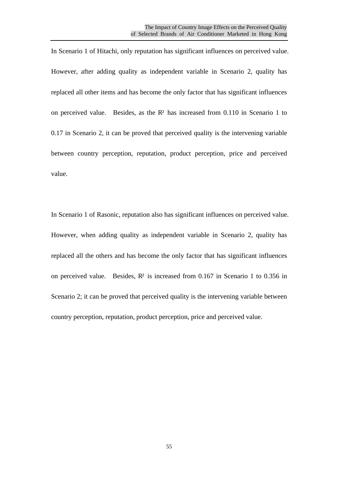In Scenario 1 of Hitachi, only reputation has significant influences on perceived value. However, after adding quality as independent variable in Scenario 2, quality has replaced all other items and has become the only factor that has significant influences on perceived value. Besides, as the R² has increased from 0.110 in Scenario 1 to 0.17 in Scenario 2, it can be proved that perceived quality is the intervening variable between country perception, reputation, product perception, price and perceived value.

In Scenario 1 of Rasonic, reputation also has significant influences on perceived value. However, when adding quality as independent variable in Scenario 2, quality has replaced all the others and has become the only factor that has significant influences on perceived value. Besides, R² is increased from 0.167 in Scenario 1 to 0.356 in Scenario 2; it can be proved that perceived quality is the intervening variable between country perception, reputation, product perception, price and perceived value.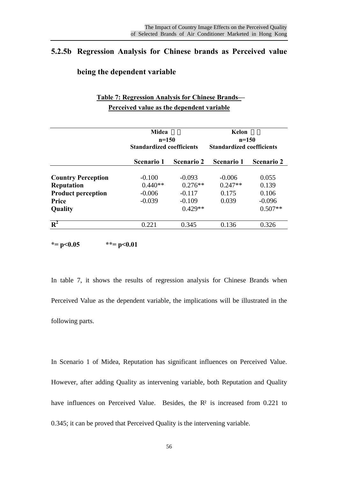# **5.2.5b Regression Analysis for Chinese brands as Perceived value**

#### **being the dependent variable**

# **Table 7: Regression Analysis for Chinese Brands— Perceived value as the dependent variable**

|                           |                   | Midea<br>$n=150$<br><b>Standardized coefficients</b> |                   | Kelon<br>$n=150$<br><b>Standardized coefficients</b> |
|---------------------------|-------------------|------------------------------------------------------|-------------------|------------------------------------------------------|
|                           | <b>Scenario 1</b> | <b>Scenario 2</b>                                    | <b>Scenario 1</b> | <b>Scenario 2</b>                                    |
| <b>Country Perception</b> | $-0.100$          | $-0.093$                                             | $-0.006$          | 0.055                                                |
| <b>Reputation</b>         | $0.440**$         | $0.276**$                                            | $0.247**$         | 0.139                                                |
| <b>Product perception</b> | $-0.006$          | $-0.117$                                             | 0.175             | 0.106                                                |
| Price                     | $-0.039$          | $-0.109$                                             | 0.039             | $-0.096$                                             |
| Quality                   |                   | $0.429**$                                            |                   | $0.507**$                                            |
| $\mathbf{R}^2$            | 0.221             | 0.345                                                | 0.136             | 0.326                                                |

**\*= p<0.05 \*\*= p<0.01**

In table 7, it shows the results of regression analysis for Chinese Brands when Perceived Value as the dependent variable, the implications will be illustrated in the following parts.

In Scenario 1 of Midea, Reputation has significant influences on Perceived Value. However, after adding Quality as intervening variable, both Reputation and Quality have influences on Perceived Value. Besides, the R<sup>2</sup> is increased from 0.221 to 0.345; it can be proved that Perceived Quality is the intervening variable.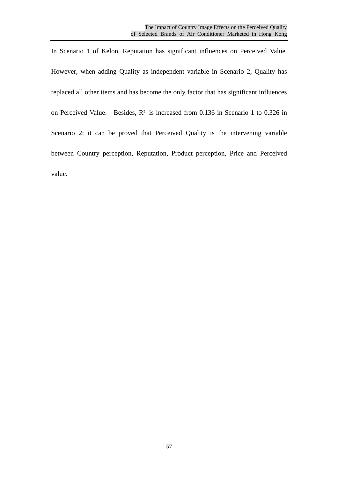In Scenario 1 of Kelon, Reputation has significant influences on Perceived Value. However, when adding Quality as independent variable in Scenario 2, Quality has replaced all other items and has become the only factor that has significant influences on Perceived Value. Besides, R² is increased from 0.136 in Scenario 1 to 0.326 in Scenario 2; it can be proved that Perceived Quality is the intervening variable between Country perception, Reputation, Product perception, Price and Perceived value.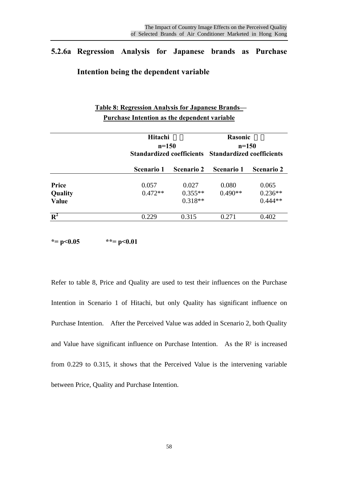0.229 0.315 0.271 0.402

# **5.2.6a Regression Analysis for Japanese brands as Purchase**

## **Intention being the dependent variable**

|         | <b>Table 8: Regression Analysis for Japanese Brands—</b><br><b>Purchase Intention as the dependent variable</b> |                                                                |                   |                   |  |
|---------|-----------------------------------------------------------------------------------------------------------------|----------------------------------------------------------------|-------------------|-------------------|--|
|         | Hitachi                                                                                                         |                                                                | <b>Rasonic</b>    |                   |  |
|         |                                                                                                                 | $n=150$<br>Standardized coefficients Standardized coefficients |                   | $n=150$           |  |
|         | Scenario 1                                                                                                      | <b>Scenario 2</b>                                              | <b>Scenario 1</b> | <b>Scenario 2</b> |  |
| Price   | 0.057                                                                                                           | 0.027                                                          | 0.080             | 0.065             |  |
| Quality | $0.472**$                                                                                                       | $0.355**$                                                      | $0.490**$         | $0.236**$         |  |
| Value   |                                                                                                                 | $0.318**$                                                      |                   | $0.444**$         |  |

**\*= p<0.05 \*\*= p<0.01**

**R 2**

Refer to table 8, Price and Quality are used to test their influences on the Purchase Intention in Scenario 1 of Hitachi, but only Quality has significant influence on Purchase Intention. After the Perceived Value was added in Scenario 2, both Quality and Value have significant influence on Purchase Intention. As the  $\mathbb{R}^2$  is increased from 0.229 to 0.315, it shows that the Perceived Value is the intervening variable between Price, Quality and Purchase Intention.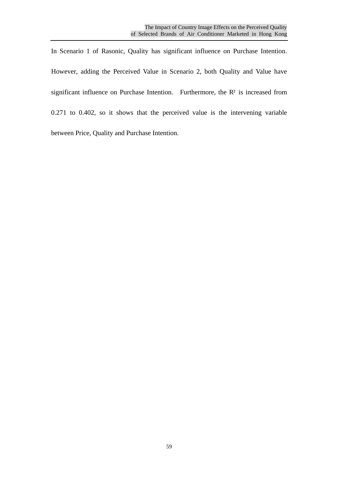In Scenario 1 of Rasonic, Quality has significant influence on Purchase Intention. However, adding the Perceived Value in Scenario 2, both Quality and Value have significant influence on Purchase Intention. Furthermore, the R² is increased from 0.271 to 0.402, so it shows that the perceived value is the intervening variable between Price, Quality and Purchase Intention.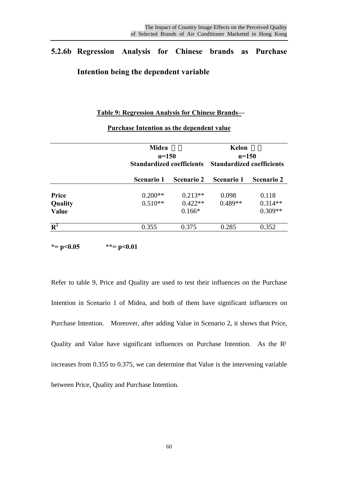# **5.2.6b Regression Analysis for Chinese brands as Purchase Intention being the dependent variable**

#### **Table 9: Regression Analysis for Chinese Brands—**

|                  |                   | <b>Midea</b><br>$n = 150$<br><b>Standardized coefficients</b> |                   | Kelon<br>$n=150$<br><b>Standardized coefficients</b> |
|------------------|-------------------|---------------------------------------------------------------|-------------------|------------------------------------------------------|
|                  | <b>Scenario 1</b> | <b>Scenario 2</b>                                             | <b>Scenario 1</b> | <b>Scenario 2</b>                                    |
| Price            | $0.200**$         | $0.213**$                                                     | 0.098             | 0.118                                                |
| Quality          | $0.510**$         | $0.422**$                                                     | $0.489**$         | $0.314**$                                            |
| Value            |                   | $0.166*$                                                      |                   | $0.309**$                                            |
| $\overline{R^2}$ | 0.355             | 0.375                                                         | 0.285             | 0.352                                                |

#### **Purchase Intention as the dependent value**

 $* = p < 0.05$   $* = p < 0.01$ 

Refer to table 9, Price and Quality are used to test their influences on the Purchase Intention in Scenario 1 of Midea, and both of them have significant influences on Purchase Intention. Moreover, after adding Value in Scenario 2, it shows that Price, Quality and Value have significant influences on Purchase Intention. As the R² increases from 0.355 to 0.375, we can determine that Value is the intervening variable between Price, Quality and Purchase Intention.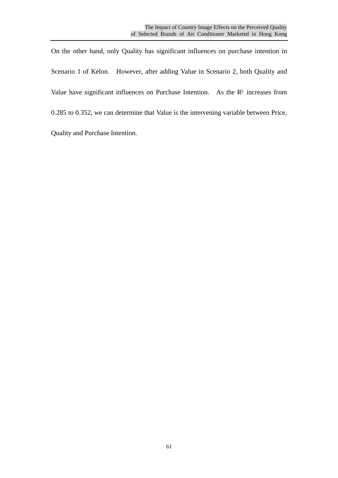On the other hand, only Quality has significant influences on purchase intention in Scenario 1 of Kelon. However, after adding Value in Scenario 2, both Quality and Value have significant influences on Purchase Intention. As the R<sup>2</sup> increases from 0.285 to 0.352, we can determine that Value is the intervening variable between Price, Quality and Purchase Intention.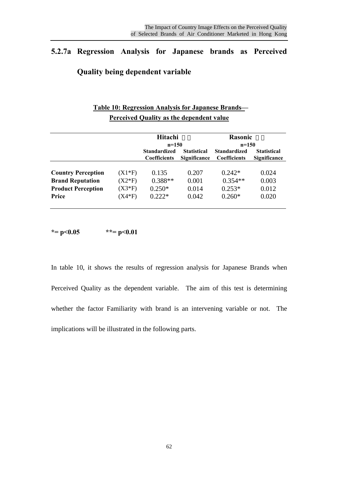# **5.2.7a Regression Analysis for Japanese brands as Perceived**

## **Quality being dependent variable**

# **Table 10: Regression Analysis for Japanese Brands— Perceived Quality as the dependent value**

|                           |          | Hitachi<br>$n=150$                                                                      |       | Rasonic<br>$n=150$                         |                                           |
|---------------------------|----------|-----------------------------------------------------------------------------------------|-------|--------------------------------------------|-------------------------------------------|
|                           |          | <b>Standardized</b><br><b>Statistical</b><br><b>Significance</b><br><b>Coefficients</b> |       | <b>Standardized</b><br><b>Coefficients</b> | <b>Statistical</b><br><b>Significance</b> |
| <b>Country Perception</b> | $(X1*F)$ | 0.135                                                                                   | 0.207 | $0.242*$                                   | 0.024                                     |
| <b>Brand Reputation</b>   | $(X2*F)$ | $0.388**$                                                                               | 0.001 | $0.354**$                                  | 0.003                                     |
| <b>Product Perception</b> | $(X3*F)$ | $0.250*$                                                                                | 0.014 | $0.253*$                                   | 0.012                                     |
| Price                     | $(X4*F)$ | $0.222*$                                                                                | 0.042 | $0.260*$                                   | 0.020                                     |

**\*= p<0.05 \*\*= p<0.01**

In table 10, it shows the results of regression analysis for Japanese Brands when Perceived Quality as the dependent variable. The aim of this test is determining whether the factor Familiarity with brand is an intervening variable or not. The implications will be illustrated in the following parts.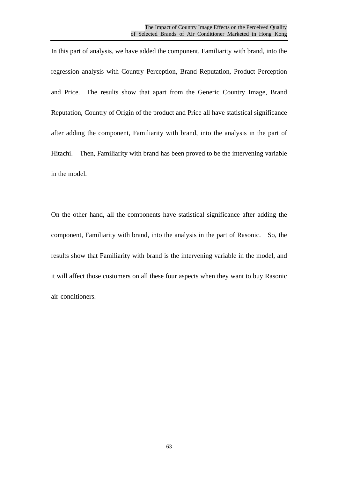In this part of analysis, we have added the component, Familiarity with brand, into the regression analysis with Country Perception, Brand Reputation, Product Perception and Price. The results show that apart from the Generic Country Image, Brand Reputation, Country of Origin of the product and Price all have statistical significance after adding the component, Familiarity with brand, into the analysis in the part of Hitachi. Then, Familiarity with brand has been proved to be the intervening variable in the model.

On the other hand, all the components have statistical significance after adding the component, Familiarity with brand, into the analysis in the part of Rasonic. So, the results show that Familiarity with brand is the intervening variable in the model, and it will affect those customers on all these four aspects when they want to buy Rasonic air-conditioners.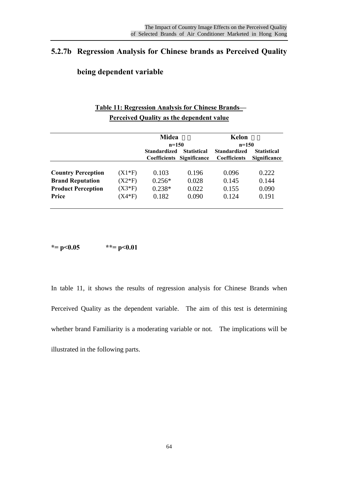# **5.2.7b Regression Analysis for Chinese brands as Perceived Quality**

#### **being dependent variable**

# **Table 11: Regression Analysis for Chinese Brands— Perceived Quality as the dependent value**

|                           |          | <b>Midea</b><br>$n=150$                                                   |       | Kelon<br>$n=150$                           |                                           |
|---------------------------|----------|---------------------------------------------------------------------------|-------|--------------------------------------------|-------------------------------------------|
|                           |          | <b>Standardized</b><br><b>Statistical</b><br>Significance<br>Coefficients |       | <b>Standardized</b><br><b>Coefficients</b> | <b>Statistical</b><br><b>Significance</b> |
| <b>Country Perception</b> | $(X1*F)$ | 0.103                                                                     | 0.196 | 0.096                                      | 0.222                                     |
| <b>Brand Reputation</b>   | $(X2*F)$ | $0.256*$                                                                  | 0.028 | 0.145                                      | 0.144                                     |
| <b>Product Perception</b> | $(X3*F)$ | $0.238*$                                                                  | 0.022 | 0.155                                      | 0.090                                     |
| Price                     | $(X4*F)$ | 0.182                                                                     | 0.090 | 0.124                                      | 0.191                                     |

**\*= p<0.05 \*\*= p<0.01**

In table 11, it shows the results of regression analysis for Chinese Brands when Perceived Quality as the dependent variable. The aim of this test is determining whether brand Familiarity is a moderating variable or not. The implications will be illustrated in the following parts.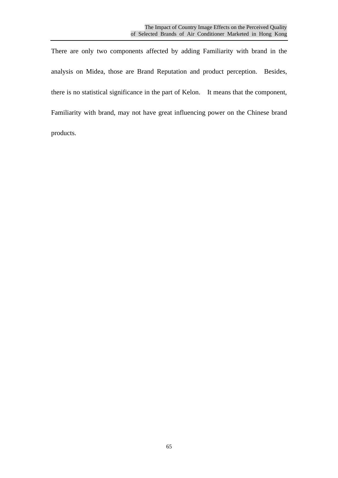There are only two components affected by adding Familiarity with brand in the analysis on Midea, those are Brand Reputation and product perception. Besides, there is no statistical significance in the part of Kelon. It means that the component, Familiarity with brand, may not have great influencing power on the Chinese brand products.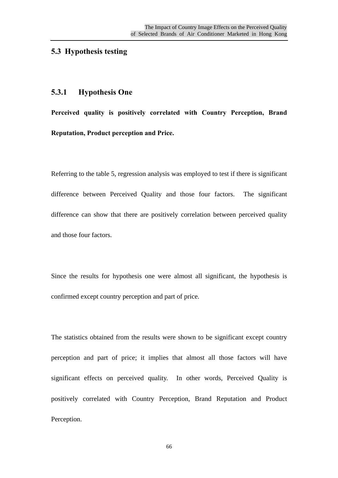# **5.3 Hypothesis testing**

## **5.3.1 Hypothesis One**

**Perceived quality is positively correlated with Country Perception, Brand Reputation, Product perception and Price.**

Referring to the table 5, regression analysis was employed to test if there is significant difference between Perceived Quality and those four factors. The significant difference can show that there are positively correlation between perceived quality and those four factors.

Since the results for hypothesis one were almost all significant, the hypothesis is confirmed except country perception and part of price.

The statistics obtained from the results were shown to be significant except country perception and part of price; it implies that almost all those factors will have significant effects on perceived quality. In other words, Perceived Quality is positively correlated with Country Perception, Brand Reputation and Product Perception.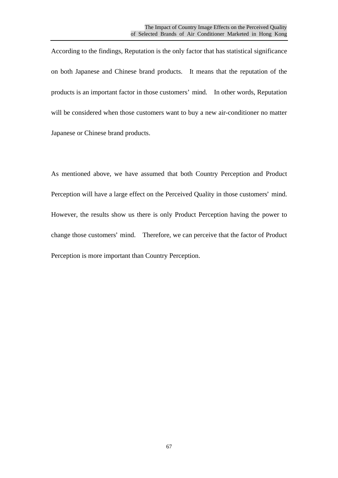According to the findings, Reputation is the only factor that has statistical significance on both Japanese and Chinese brand products. It means that the reputation of the products is an important factor in those customers' mind. In other words, Reputation will be considered when those customers want to buy a new air-conditioner no matter Japanese or Chinese brand products.

As mentioned above, we have assumed that both Country Perception and Product Perception will have a large effect on the Perceived Quality in those customers' mind. However, the results show us there is only Product Perception having the power to change those customers' mind. Therefore, we can perceive that the factor of Product Perception is more important than Country Perception.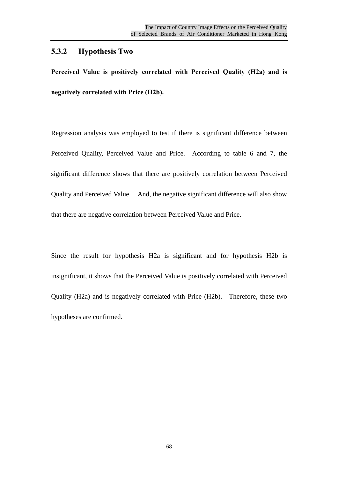# **5.3.2 Hypothesis Two**

**Perceived Value is positively correlated with Perceived Quality (H2a) and is negatively correlated with Price (H2b).**

Regression analysis was employed to test if there is significant difference between Perceived Quality, Perceived Value and Price. According to table 6 and 7, the significant difference shows that there are positively correlation between Perceived Quality and Perceived Value. And, the negative significant difference will also show that there are negative correlation between Perceived Value and Price.

Since the result for hypothesis H2a is significant and for hypothesis H2b is insignificant, it shows that the Perceived Value is positively correlated with Perceived Quality (H2a) and is negatively correlated with Price (H2b). Therefore, these two hypotheses are confirmed.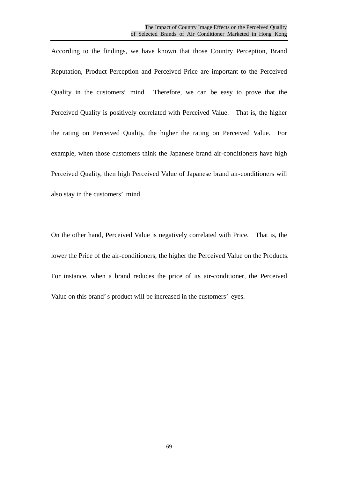According to the findings, we have known that those Country Perception, Brand Reputation, Product Perception and Perceived Price are important to the Perceived Quality in the customers' mind. Therefore, we can be easy to prove that the Perceived Quality is positively correlated with Perceived Value. That is, the higher the rating on Perceived Quality, the higher the rating on Perceived Value. For example, when those customers think the Japanese brand air-conditioners have high Perceived Quality, then high Perceived Value of Japanese brand air-conditioners will also stay in the customers' mind.

On the other hand, Perceived Value is negatively correlated with Price. That is, the lower the Price of the air-conditioners, the higher the Perceived Value on the Products. For instance, when a brand reduces the price of its air-conditioner, the Perceived Value on this brand's product will be increased in the customers' eyes.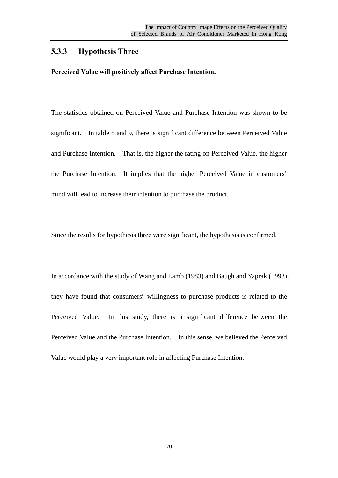#### **5.3.3 Hypothesis Three**

**Perceived Value will positively affect Purchase Intention.**

The statistics obtained on Perceived Value and Purchase Intention was shown to be significant. In table 8 and 9, there is significant difference between Perceived Value and Purchase Intention. That is, the higher the rating on Perceived Value, the higher the Purchase Intention. It implies that the higher Perceived Value in customers' mind will lead to increase their intention to purchase the product.

Since the results for hypothesis three were significant, the hypothesis is confirmed.

In accordance with the study of Wang and Lamb (1983) and Baugh and Yaprak (1993), they have found that consumers' willingness to purchase products is related to the Perceived Value. In this study, there is a significant difference between the Perceived Value and the Purchase Intention. In this sense, we believed the Perceived Value would play a very important role in affecting Purchase Intention.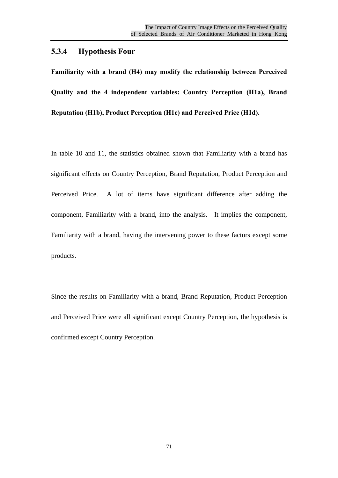# **5.3.4 Hypothesis Four**

**Familiarity with a brand (H4) may modify the relationship between Perceived Quality and the 4 independent variables: Country Perception (H1a), Brand Reputation (H1b), Product Perception (H1c) and Perceived Price (H1d).**

In table 10 and 11, the statistics obtained shown that Familiarity with a brand has significant effects on Country Perception, Brand Reputation, Product Perception and Perceived Price. A lot of items have significant difference after adding the component, Familiarity with a brand, into the analysis. It implies the component, Familiarity with a brand, having the intervening power to these factors except some products.

Since the results on Familiarity with a brand, Brand Reputation, Product Perception and Perceived Price were all significant except Country Perception, the hypothesis is confirmed except Country Perception.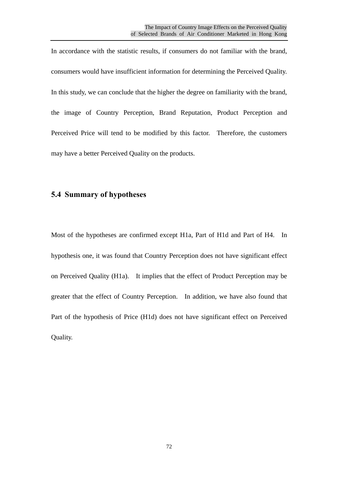In accordance with the statistic results, if consumers do not familiar with the brand, consumers would have insufficient information for determining the Perceived Quality. In this study, we can conclude that the higher the degree on familiarity with the brand, the image of Country Perception, Brand Reputation, Product Perception and Perceived Price will tend to be modified by this factor. Therefore, the customers may have a better Perceived Quality on the products.

### **5.4 Summary of hypotheses**

Most of the hypotheses are confirmed except H1a, Part of H1d and Part of H4. In hypothesis one, it was found that Country Perception does not have significant effect on Perceived Quality (H1a). It implies that the effect of Product Perception may be greater that the effect of Country Perception. In addition, we have also found that Part of the hypothesis of Price (H1d) does not have significant effect on Perceived Quality.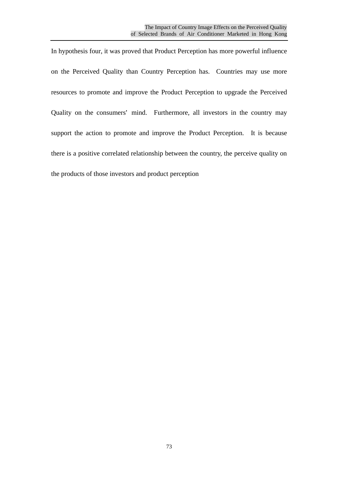In hypothesis four, it was proved that Product Perception has more powerful influence on the Perceived Quality than Country Perception has. Countries may use more resources to promote and improve the Product Perception to upgrade the Perceived Quality on the consumers' mind. Furthermore, all investors in the country may support the action to promote and improve the Product Perception. It is because there is a positive correlated relationship between the country, the perceive quality on the products of those investors and product perception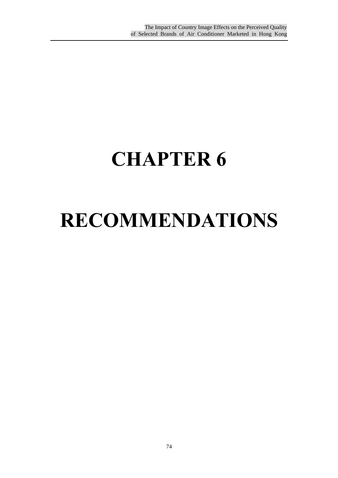## **CHAPTER 6**

## **RECOMMENDATIONS**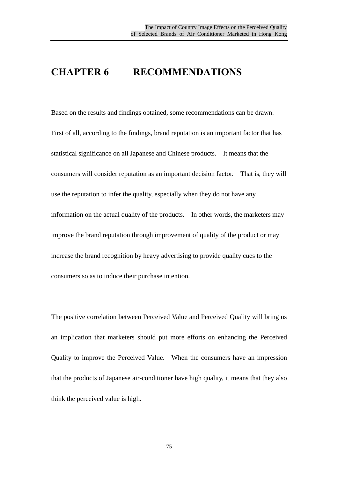### **CHAPTER 6 RECOMMENDATIONS**

Based on the results and findings obtained, some recommendations can be drawn. First of all, according to the findings, brand reputation is an important factor that has statistical significance on all Japanese and Chinese products. It means that the consumers will consider reputation as an important decision factor. That is, they will use the reputation to infer the quality, especially when they do not have any information on the actual quality of the products. In other words, the marketers may improve the brand reputation through improvement of quality of the product or may increase the brand recognition by heavy advertising to provide quality cues to the consumers so as to induce their purchase intention.

The positive correlation between Perceived Value and Perceived Quality will bring us an implication that marketers should put more efforts on enhancing the Perceived Quality to improve the Perceived Value. When the consumers have an impression that the products of Japanese air-conditioner have high quality, it means that they also think the perceived value is high.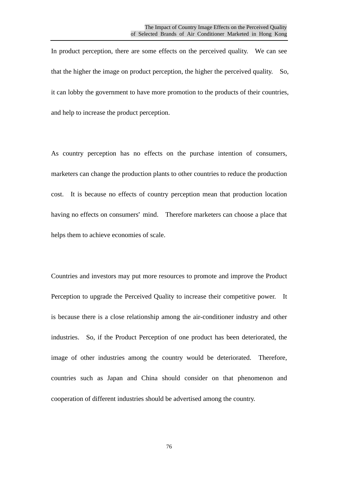In product perception, there are some effects on the perceived quality. We can see that the higher the image on product perception, the higher the perceived quality. So, it can lobby the government to have more promotion to the products of their countries, and help to increase the product perception.

As country perception has no effects on the purchase intention of consumers, marketers can change the production plants to other countries to reduce the production cost. It is because no effects of country perception mean that production location having no effects on consumers' mind. Therefore marketers can choose a place that helps them to achieve economies of scale.

Countries and investors may put more resources to promote and improve the Product Perception to upgrade the Perceived Quality to increase their competitive power. It is because there is a close relationship among the air-conditioner industry and other industries. So, if the Product Perception of one product has been deteriorated, the image of other industries among the country would be deteriorated. Therefore, countries such as Japan and China should consider on that phenomenon and cooperation of different industries should be advertised among the country.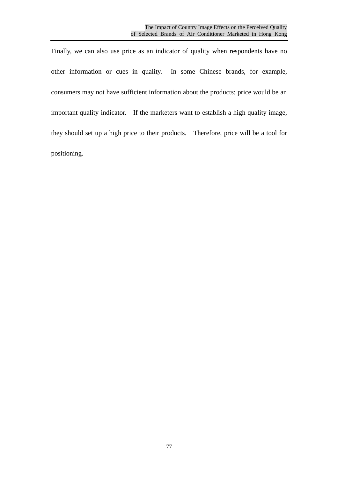Finally, we can also use price as an indicator of quality when respondents have no other information or cues in quality. In some Chinese brands, for example, consumers may not have sufficient information about the products; price would be an important quality indicator. If the marketers want to establish a high quality image, they should set up a high price to their products. Therefore, price will be a tool for positioning.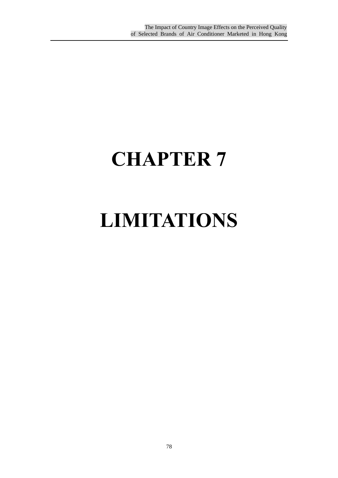# **CHAPTER 7**

## **LIMITATIONS**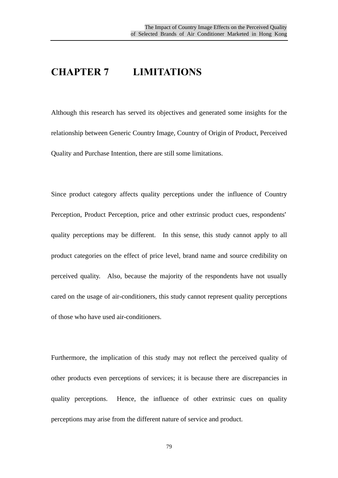### **CHAPTER 7 LIMITATIONS**

Although this research has served its objectives and generated some insights for the relationship between Generic Country Image, Country of Origin of Product, Perceived Quality and Purchase Intention, there are still some limitations.

Since product category affects quality perceptions under the influence of Country Perception, Product Perception, price and other extrinsic product cues, respondents' quality perceptions may be different. In this sense, this study cannot apply to all product categories on the effect of price level, brand name and source credibility on perceived quality. Also, because the majority of the respondents have not usually cared on the usage of air-conditioners, this study cannot represent quality perceptions of those who have used air-conditioners.

Furthermore, the implication of this study may not reflect the perceived quality of other products even perceptions of services; it is because there are discrepancies in quality perceptions. Hence, the influence of other extrinsic cues on quality perceptions may arise from the different nature of service and product.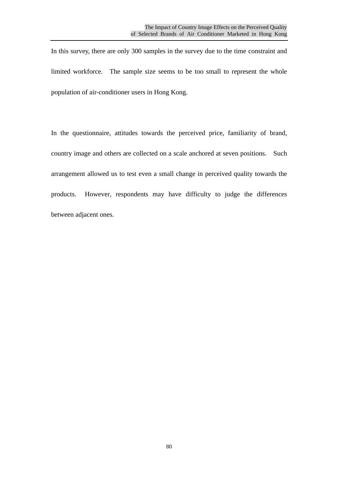In this survey, there are only 300 samples in the survey due to the time constraint and limited workforce. The sample size seems to be too small to represent the whole population of air-conditioner users in Hong Kong.

In the questionnaire, attitudes towards the perceived price, familiarity of brand, country image and others are collected on a scale anchored at seven positions. Such arrangement allowed us to test even a small change in perceived quality towards the products. However, respondents may have difficulty to judge the differences between adjacent ones.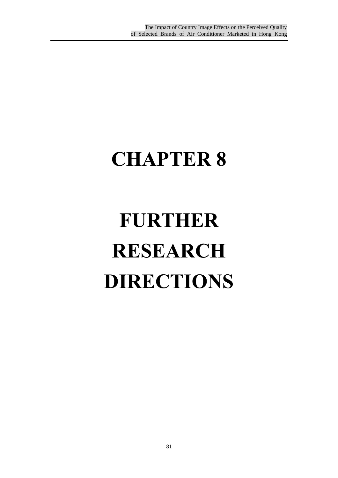# **CHAPTER 8**

# **FURTHER RESEARCH DIRECTIONS**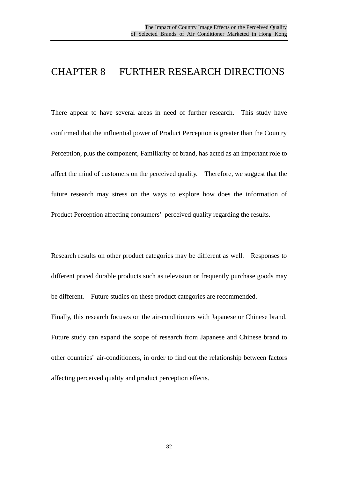### CHAPTER 8 FURTHER RESEARCH DIRECTIONS

There appear to have several areas in need of further research. This study have confirmed that the influential power of Product Perception is greater than the Country Perception, plus the component, Familiarity of brand, has acted as an important role to affect the mind of customers on the perceived quality. Therefore, we suggest that the future research may stress on the ways to explore how does the information of Product Perception affecting consumers' perceived quality regarding the results.

Research results on other product categories may be different as well. Responses to different priced durable products such as television or frequently purchase goods may be different. Future studies on these product categories are recommended. Finally, this research focuses on the air-conditioners with Japanese or Chinese brand. Future study can expand the scope of research from Japanese and Chinese brand to other countries' air-conditioners, in order to find out the relationship between factors affecting perceived quality and product perception effects.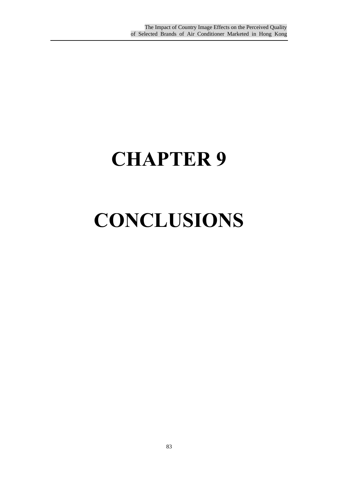## **CHAPTER 9**

## **CONCLUSIONS**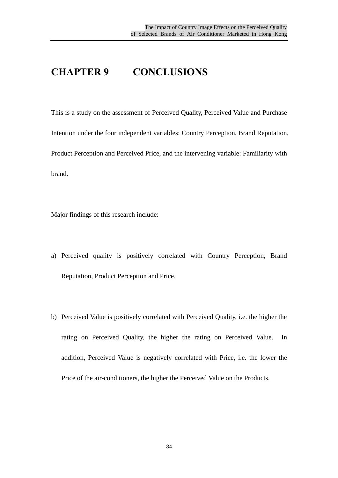### **CHAPTER 9 CONCLUSIONS**

This is a study on the assessment of Perceived Quality, Perceived Value and Purchase Intention under the four independent variables: Country Perception, Brand Reputation, Product Perception and Perceived Price, and the intervening variable: Familiarity with brand.

Major findings of this research include:

- a) Perceived quality is positively correlated with Country Perception, Brand Reputation, Product Perception and Price.
- b) Perceived Value is positively correlated with Perceived Quality, i.e. the higher the rating on Perceived Quality, the higher the rating on Perceived Value. In addition, Perceived Value is negatively correlated with Price, i.e. the lower the Price of the air-conditioners, the higher the Perceived Value on the Products.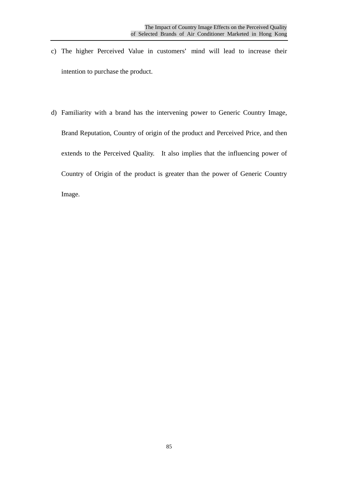- c) The higher Perceived Value in customers' mind will lead to increase their intention to purchase the product.
- d) Familiarity with a brand has the intervening power to Generic Country Image, Brand Reputation, Country of origin of the product and Perceived Price, and then extends to the Perceived Quality. It also implies that the influencing power of Country of Origin of the product is greater than the power of Generic Country Image.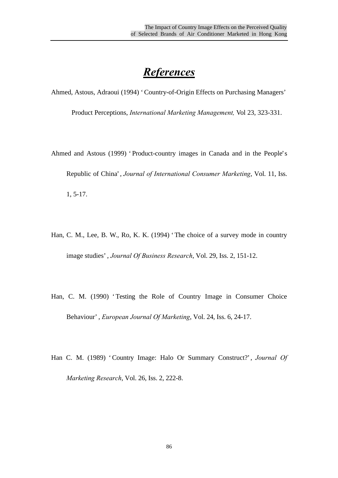## *References*

Ahmed, Astous, Adraoui (1994) 'Country-of-Origin Effects on Purchasing Managers'

Product Perceptions, *International Marketing Management,* Vol 23, 323-331.

- Ahmed and Astous (1999) 'Product-country images in Canada and in the People's Republic of China', *Journal of International Consumer Marketing*, Vol. 11, Iss. 1, 5-17.
- Han, C. M., Lee, B. W., Ro, K. K. (1994) 'The choice of a survey mode in country image studies', *Journal Of Business Research*, Vol. 29, Iss. 2, 151-12.
- Han, C. M. (1990) 'Testing the Role of Country Image in Consumer Choice Behaviour', *European Journal Of Marketing*, Vol. 24, Iss. 6, 24-17.
- Han C. M. (1989) 'Country Image: Halo Or Summary Construct?', *Journal Of Marketing Research*, Vol. 26, Iss. 2, 222-8.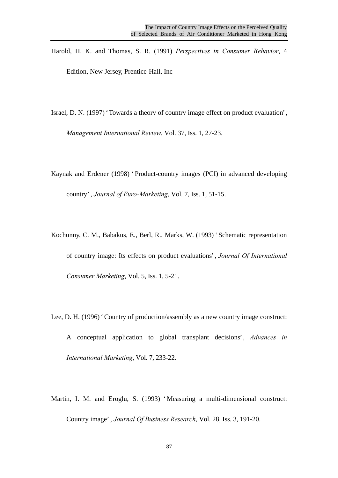Harold, H. K. and Thomas, S. R. (1991) *Perspectives in Consumer Behavior*, 4 Edition, New Jersey, Prentice-Hall, Inc

Israel, D. N. (1997) 'Towards a theory of country image effect on product evaluation',

*Management International Review*, Vol. 37, Iss. 1, 27-23.

Kaynak and Erdener (1998) 'Product-country images (PCI) in advanced developing country', *Journal of Euro-Marketing*, Vol. 7, Iss. 1, 51-15.

- Kochunny, C. M., Babakus, E., Berl, R., Marks, W. (1993) 'Schematic representation of country image: Its effects on product evaluations', *Journal Of International Consumer Marketing*, Vol. 5, Iss. 1, 5-21.
- Lee, D. H. (1996) 'Country of production/assembly as a new country image construct: A conceptual application to global transplant decisions', *Advances in International Marketing*, Vol. 7, 233-22.
- Martin, I. M. and Eroglu, S. (1993) 'Measuring a multi-dimensional construct: Country image', *Journal Of Business Research*, Vol. 28, Iss. 3, 191-20.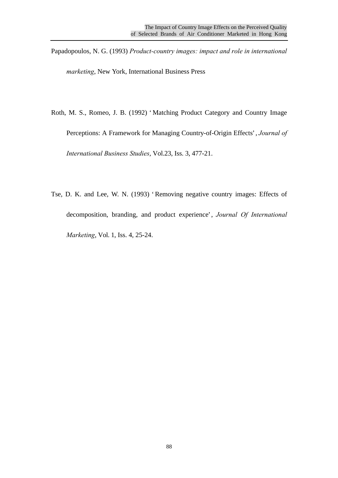Papadopoulos, N. G. (1993) *Product-country images: impact and role in international* 

*marketing*, New York, International Business Press

Roth, M. S., Romeo, J. B. (1992) 'Matching Product Category and Country Image

Perceptions: A Framework for Managing Country-of-Origin Effects', *Journal of International Business Studies*, Vol.23, Iss. 3, 477-21.

Tse, D. K. and Lee, W. N. (1993) 'Removing negative country images: Effects of decomposition, branding, and product experience', *Journal Of International Marketing*, Vol. 1, Iss. 4, 25-24.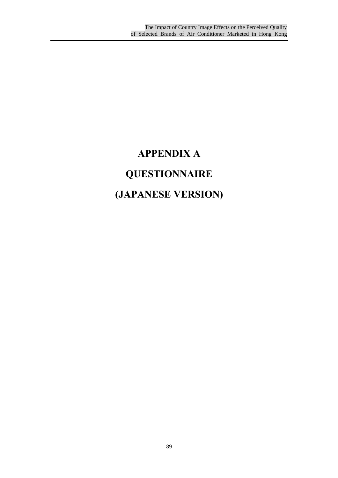## **APPENDIX A QUESTIONNAIRE (JAPANESE VERSION)**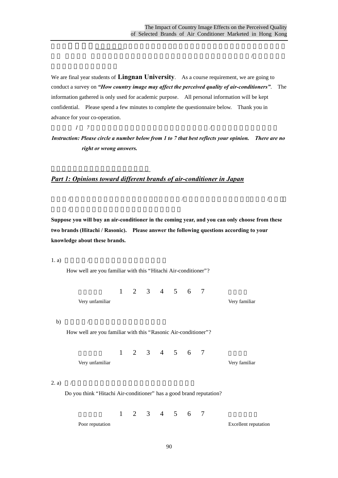We are final year students of **Lingnan University**. As a course requirement, we are going to conduct a survey on *"How country image may affect the perceived quality of air-conditioners"*. The information gathered is only used for academic purpose. All personal information will be kept confidential. Please spend a few minutes to complete the questionnaire below. Thank you in advance for your co-operation.

 $\mathbb{R}$  , and  $\mathbb{R}$  , and  $\mathbb{R}$  , and  $\mathbb{R}$  , and  $\mathbb{R}$  , and  $\mathbb{R}$  , and  $\mathbb{R}$  , and  $\mathbb{R}$  , and  $\mathbb{R}$  , and  $\mathbb{R}$  , and  $\mathbb{R}$  , and  $\mathbb{R}$  , and  $\mathbb{R}$  , and  $\mathbb{R}$  , and  $\mathbb{R}$  ,  $\mathcal{A}$  and  $\mathcal{B}$  are following for  $\mathcal{B}$  and  $\mathcal{B}$ 

指引:以 *1 7* 為標準,請圈出適當的數字以反映你的意見,你*/*妳的答案並沒有對錯之分。

第一部份:對日本不同冷氣機品牌的意見

 $/$ 

*Instruction: Please circle a number below from 1 to 7 that best reflects your opinion. There are no right or wrong answers.*

### *Part 1: Opinions toward different brands of air-conditioner in Japan*

**Suppose you will buy an air-conditioner in the coming year, and you can only choose from these two brands (Hitachi / Rasonic). Please answer the following questions according to your knowledge about these brands.**

 $\sqrt{2}$  and  $\sqrt{2}$  and  $\sqrt{2}$  and  $\sqrt{2}$  and  $\sqrt{2}$   $\sqrt{2}$   $\sqrt{2}$   $\sqrt{2}$   $\sqrt{2}$   $\sqrt{2}$   $\sqrt{2}$   $\sqrt{2}$   $\sqrt{2}$   $\sqrt{2}$   $\sqrt{2}$   $\sqrt{2}$   $\sqrt{2}$   $\sqrt{2}$   $\sqrt{2}$   $\sqrt{2}$   $\sqrt{2}$   $\sqrt{2}$   $\sqrt{2}$   $\sqrt{2}$   $\sqrt{2}$   $\sqrt{2$ 

1. a)  $/$ 

How well are you familiar with this "Hitachi Air-conditioner"?

1 2 3 4 5 6 7

Very unfamiliar Very familiar

b)  $/$ 

How well are you familiar with this "Rasonic Air-conditioner"?

1 2 3 4 5 6 7

Very unfamiliar Very familiar

2. a) /

Do you think "Hitachi Air-conditioner" has a good brand reputation?

1 2 3 4 5 6 7

Poor reputation Excellent reputation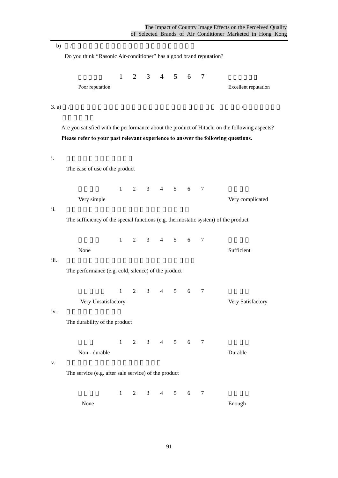Do you think "Rasonic Air-conditioner" has a good brand reputation? 1 2 3 4 5 6 7 Poor reputation Excellent reputation 3. a) /妳本人是否滿意日立這品牌的產品在以下各方面的表現呢? 請根據你**/**妳本人以往的有 Are you satisfied with the performance about the product of Hitachi on the following aspects? **Please refer to your past relevant experience to answer the following questions.** i. 該品牌產品的操作簡易程度 The ease of use of the product  $1 \t2 \t3 \t4 \t5 \t6 \t7$ Very simple Very complicated ii. 該品牌產品的特殊功能是否足夠,例如:自動恆溫

b) /  $/$ 

The sufficiency of the special functions (e.g. thermostatic system) of the product

 $1 \t2 \t3 \t4 \t5 \t6 \t7$ None Sufficient

iii. 該品牌產品的各項表現,例如:冷凍程度,寧靜程度

The performance (e.g. cold, silence) of the product

 $1 \t2 \t3 \t4 \t5 \t6 \t7$ 

Very Unsatisfactory Very Satisfactory

#### iv.

The durability of the product

1 2 3 4 5 6 7

Non - durable Durable

 $V.$ 

The service (e.g. after sale service) of the product

 $1 \t2 \t3 \t4 \t5 \t6 \t7$ 

None Enough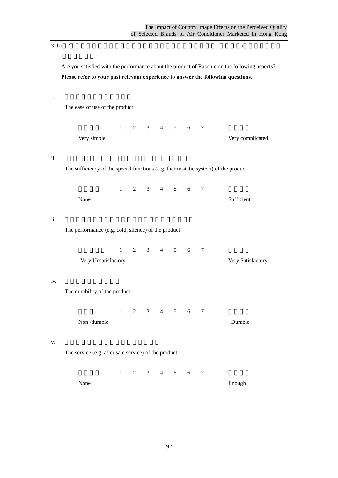3. b) /妳本人是否滿意樂信這品牌的產品在以下各方面的表現呢? 請根據你**/**妳本人以往的有

Are you satisfied with the performance about the product of Rasonic on the following aspects? **Please refer to your past relevant experience to answer the following questions.**

i. 該品牌產品的操作簡易程度

The ease of use of the product

1 2 3 4 5 6 7

Very simple Very complicated

ii. 該品牌產品的特殊功能是否足夠,例如:自動恆溫

The sufficiency of the special functions (e.g. thermostatic system) of the product

 $1 \t2 \t3 \t4 \t5 \t6 \t7$ None Sufficient

#### iii. 該品牌產品的各項表現,例如:冷凍程度,寧靜程度

The performance (e.g. cold, silence) of the product

 $1 \t2 \t3 \t4 \t5 \t6 \t7$ 

| Very Unsatisfactory | Very Satisfactory |
|---------------------|-------------------|
|                     |                   |

#### iv.

The durability of the product

1 2 3 4 5 6 7 Non -durable Durable

#### $V.$

The service (e.g. after sale service) of the product

 $1 \t2 \t3 \t4 \t5 \t6 \t7$ 

None Enough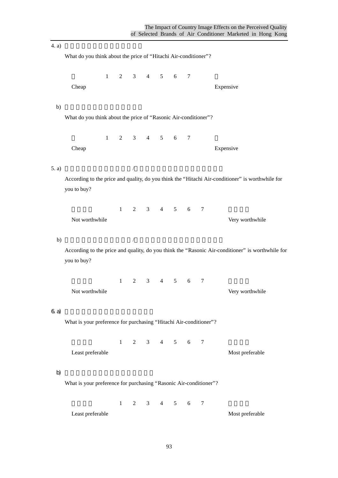$(4, a)$ What do you think about the price of "Hitachi Air-conditioner"? 1 2 3 4 5 6 7 Cheap Expensive Expensive b)  $\blacksquare$ What do you think about the price of "Rasonic Air-conditioner"? 1 2 3 4 5 6 7 Cheap Expensive Expensive 5. a)  $/$ According to the price and quality, do you think the "Hitachi Air-conditioner" is worthwhile for you to buy? 1 2 3 4 5 6 7 Not worthwhile Very worthwhile b)  $/$ According to the price and quality, do you think the "Rasonic Air-conditioner" is worthwhile for you to buy? 1 2 3 4 5 6 7 Not worthwhile Very worthwhile  $6a)$ What is your preference for purchasing "Hitachi Air-conditioner"?  $1 \t2 \t3 \t4 \t5 \t6 \t7$ Least preferable Most preferable b)  $\Box$ What is your preference for purchasing "Rasonic Air-conditioner"?  $1 \t2 \t3 \t4 \t5 \t6 \t7$ Least preferable Most preferable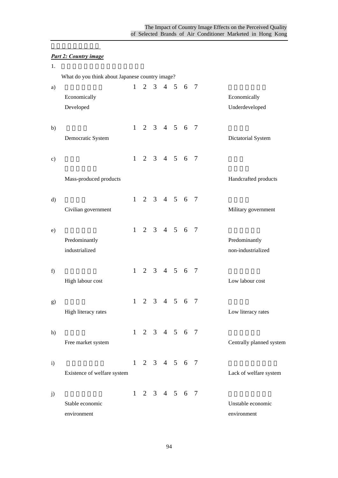### 第二部份:國家形象 *Part 2: Country image*

| 1.            |                                                 |              |  |                     |                             |                |                          |
|---------------|-------------------------------------------------|--------------|--|---------------------|-----------------------------|----------------|--------------------------|
|               | What do you think about Japanese country image? |              |  |                     |                             |                |                          |
| a)            |                                                 | 1            |  |                     | 2 3 4 5 6 7                 |                |                          |
|               | Economically                                    |              |  |                     |                             |                | Economically             |
|               | Developed                                       |              |  |                     |                             |                | Underdeveloped           |
| b)            |                                                 |              |  |                     | $1 \t2 \t3 \t4 \t5 \t6 \t7$ |                |                          |
|               | Democratic System                               |              |  |                     |                             |                | Dictatorial System       |
| $\mathbf{c})$ |                                                 |              |  |                     | $1 \t2 \t3 \t4 \t5 \t6 \t7$ |                |                          |
|               | Mass-produced products                          |              |  |                     |                             |                | Handcrafted products     |
| $\rm d)$      |                                                 |              |  |                     | $1 \t2 \t3 \t4 \t5 \t6 \t7$ |                |                          |
|               | Civilian government                             |              |  |                     |                             |                | Military government      |
| e)            |                                                 |              |  |                     | $1 \t2 \t3 \t4 \t5 \t6 \t7$ |                |                          |
|               | Predominantly                                   |              |  |                     |                             |                | Predominantly            |
|               | industrialized                                  |              |  |                     |                             |                | non-industrialized       |
| f)            |                                                 |              |  |                     | $1 \t2 \t3 \t4 \t5 \t6 \t7$ |                |                          |
|               | High labour cost                                |              |  |                     |                             |                | Low labour cost          |
| g)            |                                                 | $\mathbf{1}$ |  | $2 \t3 \t4 \t5 \t6$ |                             | $\overline{7}$ |                          |
|               | High literacy rates                             |              |  |                     |                             |                | Low literacy rates       |
| h)            |                                                 |              |  |                     | $1 \t2 \t3 \t4 \t5 \t6 \t7$ |                |                          |
|               | Free market system                              |              |  |                     |                             |                | Centrally planned system |
| $\mathbf{i}$  |                                                 |              |  |                     | $1 \t2 \t3 \t4 \t5 \t6 \t7$ |                |                          |
|               | Existence of welfare system                     |              |  |                     |                             |                | Lack of welfare system   |
| j)            |                                                 |              |  |                     | $1 \t2 \t3 \t4 \t5 \t6 \t7$ |                |                          |
|               | Stable economic                                 |              |  |                     |                             |                | Unstable economic        |
|               | environment                                     |              |  |                     |                             |                | environment              |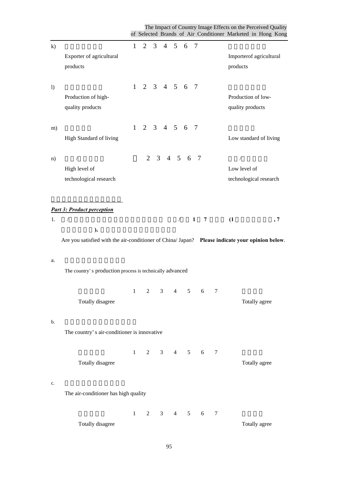The Impact of Country Image Effects on the Perceived Quality of Selected Brands of Air Conditioner Marketed in Hong Kong

| k)               |                                                                                                 | $\mathbf{1}$ |                |                |                |                | 2 3 4 5 6 7                 |              |                |                                                      |
|------------------|-------------------------------------------------------------------------------------------------|--------------|----------------|----------------|----------------|----------------|-----------------------------|--------------|----------------|------------------------------------------------------|
|                  | Exporter of agricultural<br>products                                                            |              |                |                |                |                |                             |              |                | Importerof agricultural<br>products                  |
| $\left( \right)$ | Production of high-<br>quality products                                                         |              |                |                |                |                | $1 \t2 \t3 \t4 \t5 \t6 \t7$ |              |                | Production of low-<br>quality products               |
|                  |                                                                                                 |              |                |                |                |                | $1 \t2 \t3 \t4 \t5 \t6 \t7$ |              |                |                                                      |
| m)               | High Standard of living                                                                         |              |                |                |                |                |                             |              |                | Low standard of living                               |
| n)               | $\sqrt{2}$<br>High level of<br>technological research                                           |              |                |                |                |                | 2 3 4 5 6 7                 |              |                | $\sqrt{2}$<br>Low level of<br>technological research |
| 1.               | <b>Part 3: Product perception</b><br>$\sqrt{2}$<br>),                                           |              |                |                |                | $\sqrt{2}$     |                             | $\mathbf{1}$ | $\overline{7}$ | (1)<br>, 7                                           |
|                  | Are you satisfied with the air-conditioner of China/ Japan? Please indicate your opinion below. |              |                |                |                |                |                             |              |                |                                                      |
| a.               | The country's production process is technically advanced                                        |              |                |                |                |                |                             |              |                |                                                      |
|                  | Totally disagree                                                                                | $\mathbf{1}$ | $\overline{2}$ |                | 3 <sup>7</sup> | $\overline{4}$ | $5\overline{)}$             |              | 6<br>7         | Totally agree                                        |
| b.               | The country's air-conditioner is innovative                                                     |              |                |                |                |                |                             |              |                |                                                      |
|                  | Totally disagree                                                                                | $\mathbf{1}$ |                | $\overline{2}$ |                |                | $3 \t 4 \t 5$               |              | 6<br>7         | Totally agree                                        |
| c.               | The air-conditioner has high quality                                                            |              |                |                |                |                |                             |              |                |                                                      |
|                  | Totally disagree                                                                                | $\mathbf{1}$ | $\overline{2}$ |                | 3 <sup>7</sup> |                | $4\quad 5$                  | 6            | 7              | Totally agree                                        |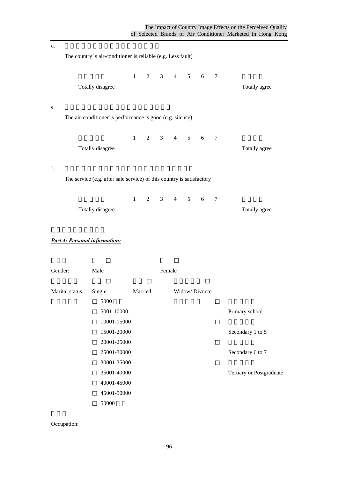| d.                                   |                                                                       |              |                |        |                    |        |                          |
|--------------------------------------|-----------------------------------------------------------------------|--------------|----------------|--------|--------------------|--------|--------------------------|
|                                      | The country's air-conditioner is reliable (e.g. Less fault)           |              |                |        |                    |        |                          |
|                                      | Totally disagree                                                      | $\mathbf{1}$ | 2              |        | $3 \t 4 \t 5 \t 6$ | $\tau$ | Totally agree            |
| e.                                   | The air-conditioner's performance is good (e.g. silence)              |              |                |        |                    |        |                          |
|                                      | Totally disagree                                                      | $\mathbf{1}$ | $\mathbf{2}$   |        | $3 \t 4 \t 5 \t 6$ | $\tau$ | Totally agree            |
| f.                                   | The service (e.g. after sale service) of this country is satisfactory |              |                |        |                    |        |                          |
|                                      | Totally disagree                                                      | $\mathbf{1}$ | $\overline{2}$ |        | $3 \t 4 \t 5 \t 6$ | $\tau$ | Totally agree            |
| <b>Part 4: Personal information:</b> |                                                                       |              |                |        |                    |        |                          |
| Gender:                              | Male                                                                  |              |                | Female |                    |        |                          |
| Marital status:                      | Single<br>5000                                                        |              | Married        |        | Widow/Divorce      |        |                          |
|                                      | 5001-10000<br>10001-15000                                             |              |                |        |                    |        | Primary school           |
|                                      | 15001-20000<br>20001-25000                                            |              |                |        |                    |        | Secondary 1 to 5         |
|                                      | 25001-30000<br>30001-35000                                            |              |                |        |                    |        | Secondary 6 to 7         |
|                                      | 35001-40000<br>40001-45000                                            |              |                |        |                    |        | Tertiary or Postgraduate |
|                                      | 45001-50000<br>50000                                                  |              |                |        |                    |        |                          |

Occupation: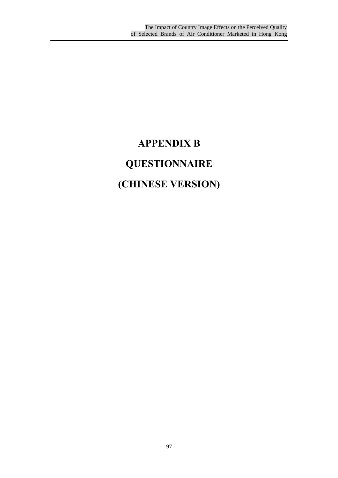## **APPENDIX B QUESTIONNAIRE (CHINESE VERSION)**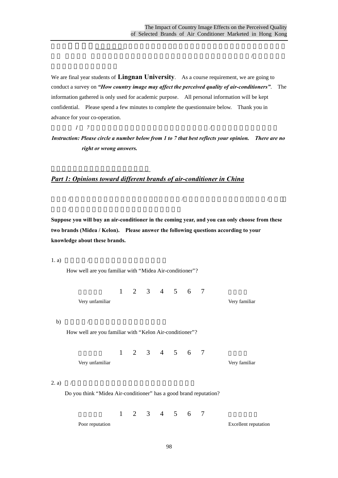We are final year students of **Lingnan University**. As a course requirement, we are going to conduct a survey on *"How country image may affect the perceived quality of air-conditioners"*. The information gathered is only used for academic purpose. All personal information will be kept confidential. Please spend a few minutes to complete the questionnaire below. Thank you in advance for your co-operation.

 $\mathbb{R}$  , and  $\mathbb{R}$  , and  $\mathbb{R}$  , and  $\mathbb{R}$  , and  $\mathbb{R}$  , and  $\mathbb{R}$  , and  $\mathbb{R}$  , and  $\mathbb{R}$  , and  $\mathbb{R}$  , and  $\mathbb{R}$  , and  $\mathbb{R}$  , and  $\mathbb{R}$  , and  $\mathbb{R}$  , and  $\mathbb{R}$  , and  $\mathbb{R}$  ,  $\mathcal{A}$  and  $\mathcal{B}$  are following for  $\mathcal{B}$  and  $\mathcal{B}$ 

指引:以 *1 7* 為標準,請圈出適當的數字以反映你的意見,你*/*妳的答案並沒有對錯之分。

第一部份:對中國不同冷氣機品牌的意見

 $/$ 

*Instruction: Please circle a number below from 1 to 7 that best reflects your opinion. There are no right or wrong answers.*

#### *Part 1: Opinions toward different brands of air-conditioner in China*

**Suppose you will buy an air-conditioner in the coming year, and you can only choose from these two brands (Midea / Kelon). Please answer the following questions according to your knowledge about these brands.**

 $\sqrt{a^2 + 4a^2 + 4a^2 + 4a^2 + 4a^2 + 4a^2 + 4a^2 + 4a^2 + 4a^2 + 4a^2 + 4a^2 + 4a^2 + 4a^2 + 4a^2 + 4a^2 + 4a^2 + 4a^2 + 4a^2 + 4a^2 + 4a^2 + 4a^2 + 4a^2 + 4a^2 + 4a^2 + 4a^2 + 4a^2 + 4a^2 + 4a^2 + 4a^2 + 4a^2 + 4a^2 + 4a^2 + 4a^2 + 4a^2 + 4a^2 + 4a^2 + 4a$ 

1. a)  $/$ 

How well are you familiar with "Midea Air-conditioner"?

1 2 3 4 5 6 7 Very unfamiliar Very familiar

b)  $/$ 

How well are you familiar with "Kelon Air-conditioner"?

1 2 3 4 5 6 7

Very unfamiliar Very familiar

2. a) /

Do you think "Midea Air-conditioner" has a good brand reputation?

1 2 3 4 5 6 7

Poor reputation Excellent reputation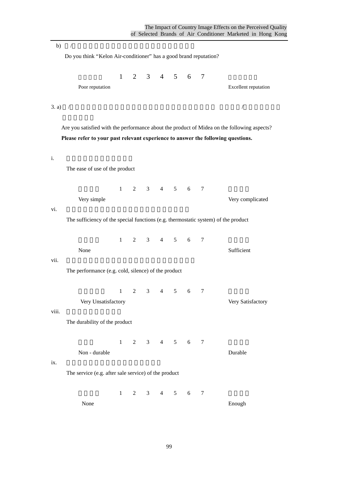b) /  $\blacksquare$ Do you think "Kelon Air-conditioner" has a good brand reputation? 1 2 3 4 5 6 7 Poor reputation Excellent reputation 3. a) /妳本人是否滿意美的這品牌的產品在以下各方面的表現呢? 請根據你**/**妳本人以往的有 Are you satisfied with the performance about the product of Midea on the following aspects? **Please refer to your past relevant experience to answer the following questions.** i. 該品牌產品的操作簡易程度 The ease of use of the product 1 2 3 4 5 6 7 Very simple Very complicated vi. The sufficiency of the special functions (e.g. thermostatic system) of the product  $1 \t2 \t3 \t4 \t5 \t6 \t7$ None Sufficient vii.  $\overline{a}$ The performance (e.g. cold, silence) of the product  $1 \t2 \t3 \t4 \t5 \t6 \t7$ Very Unsatisfactory Very Satisfactory viii. The durability of the product 1 2 3 4 5 6 7 Non - durable Durable  $ix.$ The service (e.g. after sale service) of the product

 $1 \t2 \t3 \t4 \t5 \t6 \t7$ 

None Enough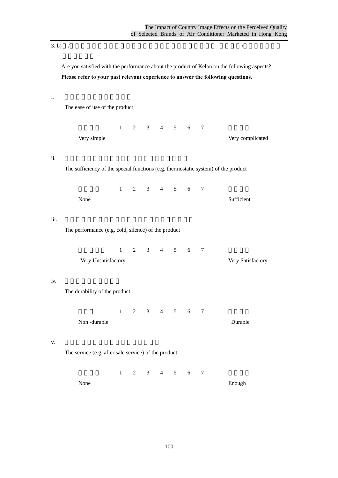3. b) /妳本人是否滿意科龍這品牌的產品在以下各方面的表現呢? 請根據你**/**妳本人以往的有

Are you satisfied with the performance about the product of Kelon on the following aspects? **Please refer to your past relevant experience to answer the following questions.**

i. 該品牌產品的操作簡易程度

The ease of use of the product

1 2 3 4 5 6 7

Very simple Very complicated

ii. 該品牌產品的特殊功能是否足夠,例如:自動恆溫

The sufficiency of the special functions (e.g. thermostatic system) of the product

 $1 \t2 \t3 \t4 \t5 \t6 \t7$ None Sufficient

iii. 該品牌產品的各項表現,例如:冷凍程度,寧靜程度

The performance (e.g. cold, silence) of the product

 $1 \t2 \t3 \t4 \t5 \t6 \t7$ 

Very Unsatisfactory Very Satisfactory

iv.

The durability of the product

1 2 3 4 5 6 7 Non -durable Durable

 $V.$ 

The service (e.g. after sale service) of the product

 $1 \t2 \t3 \t4 \t5 \t6 \t7$ 

None Enough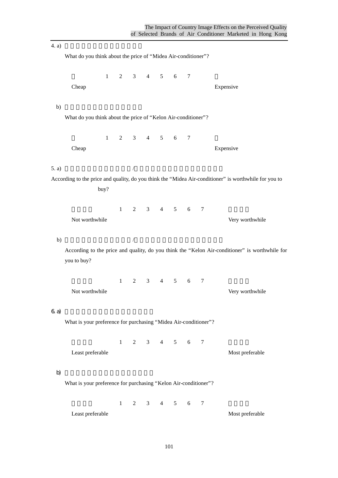$(4, a)$ What do you think about the price of "Midea Air-conditioner"? 1 2 3 4 5 6 7 Cheap Expensive Expensive b)  $\Box$ What do you think about the price of "Kelon Air-conditioner"? 1 2 3 4 5 6 7 Cheap Expensive Expensive 5. a)  $/$ According to the price and quality, do you think the "Midea Air-conditioner" is worthwhile for you to buy? 1 2 3 4 5 6 7 Not worthwhile Very worthwhile b)  $/$ According to the price and quality, do you think the "Kelon Air-conditioner" is worthwhile for you to buy? 1 2 3 4 5 6 7 Not worthwhile Very worthwhile  $6a)$ What is your preference for purchasing "Midea Air-conditioner"?  $1 \t2 \t3 \t4 \t5 \t6 \t7$ Least preferable Most preferable b)  $\Box$ What is your preference for purchasing "Kelon Air-conditioner"?  $1 \t2 \t3 \t4 \t5 \t6 \t7$ Least preferable Most preferable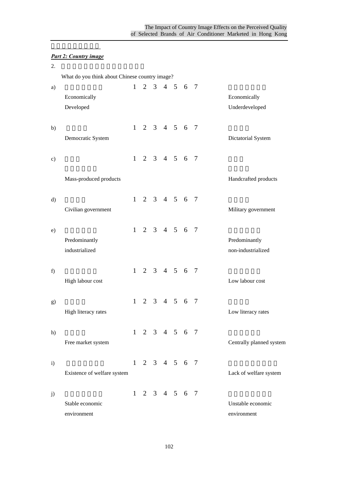### 第二部份:國家形象 *Part 2: Country image*

| 2. |                                                |              |                |                 |                             |                |                          |
|----|------------------------------------------------|--------------|----------------|-----------------|-----------------------------|----------------|--------------------------|
|    | What do you think about Chinese country image? |              |                |                 |                             |                |                          |
| a) |                                                | $\mathbf{1}$ | $\overline{2}$ |                 | 3 4 5 6 7                   |                |                          |
|    | Economically                                   |              |                |                 |                             |                | Economically             |
|    | Developed                                      |              |                |                 |                             |                | Underdeveloped           |
| b) |                                                |              |                |                 | $1 \t2 \t3 \t4 \t5 \t6 \t7$ |                |                          |
|    | Democratic System                              |              |                |                 |                             |                | Dictatorial System       |
| c) |                                                | $\mathbf{1}$ |                |                 | 2 3 4 5 6 7                 |                |                          |
|    | Mass-produced products                         |              |                |                 |                             |                | Handcrafted products     |
| d) |                                                | 1            |                |                 | 2 3 4 5 6 7                 |                |                          |
|    | Civilian government                            |              |                |                 |                             |                | Military government      |
| e) |                                                |              |                |                 | $1 \t2 \t3 \t4 \t5 \t6 \t7$ |                |                          |
|    | Predominantly                                  |              |                |                 |                             |                | Predominantly            |
|    | industrialized                                 |              |                |                 |                             |                | non-industrialized       |
| f) |                                                |              |                |                 | $1 \t2 \t3 \t4 \t5 \t6 \t7$ |                |                          |
|    | High labour cost                               |              |                |                 |                             |                | Low labour cost          |
| g) |                                                | $\mathbf{1}$ | $\overline{2}$ | $3 \t4 \t5 \t6$ |                             | $\overline{7}$ |                          |
|    | High literacy rates                            |              |                |                 |                             |                | Low literacy rates       |
| h) |                                                |              |                |                 | $1 \t2 \t3 \t4 \t5 \t6 \t7$ |                |                          |
|    | Free market system                             |              |                |                 |                             |                | Centrally planned system |
| i) |                                                |              |                |                 | $1 \t2 \t3 \t4 \t5 \t6 \t7$ |                |                          |
|    | Existence of welfare system                    |              |                |                 |                             |                | Lack of welfare system   |
| j) |                                                |              |                |                 | $1 \t2 \t3 \t4 \t5 \t6 \t7$ |                |                          |
|    | Stable economic                                |              |                |                 |                             |                | Unstable economic        |
|    | environment                                    |              |                |                 |                             |                | environment              |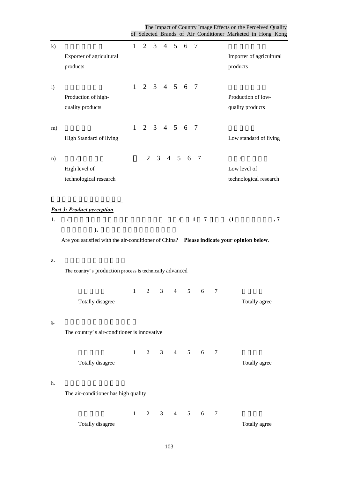The Impact of Country Image Effects on the Perceived Quality of Selected Brands of Air Conditioner Marketed in Hong Kong

| k)               |                                                                                          |              | $1 \t2 \t3 \t4 \t5 \t6 \t7$ |                |   |                 |                |                              |   |   |                                             |
|------------------|------------------------------------------------------------------------------------------|--------------|-----------------------------|----------------|---|-----------------|----------------|------------------------------|---|---|---------------------------------------------|
|                  | Exporter of agricultural<br>products                                                     |              |                             |                |   |                 |                |                              |   |   | Importer of agricultural<br>products        |
| $\left( \right)$ |                                                                                          |              | $1 \t2 \t3 \t4 \t5 \t6 \t7$ |                |   |                 |                |                              |   |   |                                             |
|                  | Production of high-<br>quality products                                                  |              |                             |                |   |                 |                |                              |   |   | Production of low-<br>quality products      |
| m)               | High Standard of living                                                                  |              | $1 \t2 \t3 \t4 \t5 \t6 \t7$ |                |   |                 |                |                              |   |   | Low standard of living                      |
|                  |                                                                                          |              |                             |                |   |                 |                |                              |   |   |                                             |
| n)               | $\sqrt{2}$<br>High level of<br>technological research                                    |              |                             |                |   | 2 3 4 5 6 7     |                |                              |   |   | 7<br>Low level of<br>technological research |
|                  | <b>Part 3: Product perception</b>                                                        |              |                             |                |   |                 |                |                              |   |   |                                             |
| 1.               | $\sqrt{2}$<br>),                                                                         |              |                             |                |   |                 | $\sqrt{2}$     | 1                            | 7 |   | (1)<br>, 7                                  |
|                  | Are you satisfied with the air-conditioner of China? Please indicate your opinion below. |              |                             |                |   |                 |                |                              |   |   |                                             |
| a.               | The country's production process is technically advanced                                 |              |                             |                |   |                 |                |                              |   |   |                                             |
|                  | Totally disagree                                                                         | $\mathbf{1}$ | 2                           |                | 3 | $\overline{4}$  | 5 <sup>5</sup> |                              | 6 | 7 | Totally agree                               |
| g.               | The country's air-conditioner is innovative                                              |              |                             |                |   |                 |                |                              |   |   |                                             |
|                  | Totally disagree                                                                         | $\mathbf{1}$ |                             | $\overline{2}$ |   | $3 \t 4 \t 5$   |                | 6                            |   | 7 | Totally agree                               |
| h.               | The air-conditioner has high quality                                                     |              |                             |                |   |                 |                |                              |   |   |                                             |
|                  | Totally disagree                                                                         | $\mathbf{1}$ | $\overline{2}$              |                | 3 | $4\overline{ }$ |                | 5 <sup>5</sup><br>$\sqrt{6}$ |   | 7 | Totally agree                               |